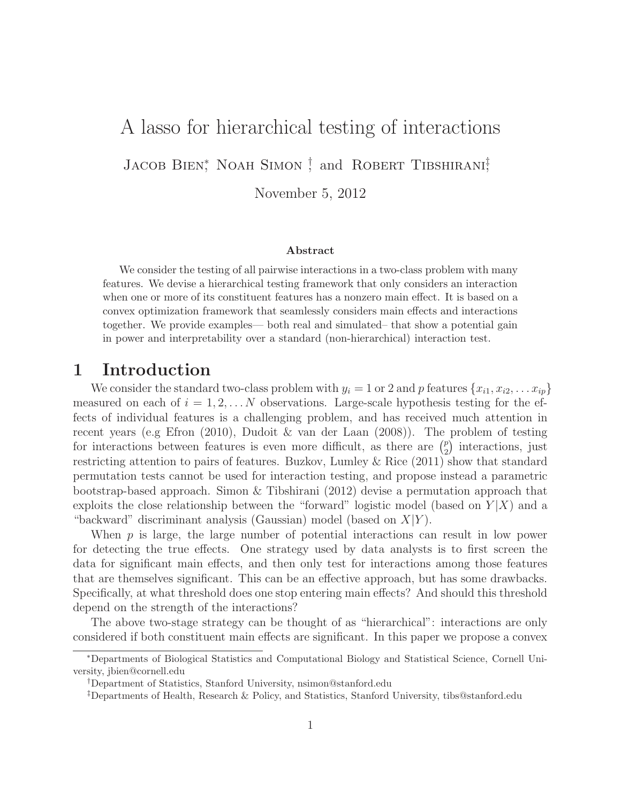# A lasso for hierarchical testing of interactions JACOB BIEN<sup>\*</sup>, NOAH SIMON<sup>†</sup>, and ROBERT TIBSHIRANI<sup>‡</sup> November 5, 2012

#### Abstract

We consider the testing of all pairwise interactions in a two-class problem with many features. We devise a hierarchical testing framework that only considers an interaction when one or more of its constituent features has a nonzero main effect. It is based on a convex optimization framework that seamlessly considers main effects and interactions together. We provide examples— both real and simulated– that show a potential gain in power and interpretability over a standard (non-hierarchical) interaction test.

### 1 Introduction

We consider the standard two-class problem with  $y_i = 1$  or 2 and p features  $\{x_{i1}, x_{i2}, \ldots x_{ip}\}$ measured on each of  $i = 1, 2, \ldots N$  observations. Large-scale hypothesis testing for the effects of individual features is a challenging problem, and has received much attention in recent years (e.g Efron (2010), Dudoit & van der Laan (2008)). The problem of testing for interactions between features is even more difficult, as there are  $\binom{p}{2}$  $\binom{p}{2}$  interactions, just restricting attention to pairs of features. Buzkov, Lumley & Rice (2011) show that standard permutation tests cannot be used for interaction testing, and propose instead a parametric bootstrap-based approach. Simon & Tibshirani (2012) devise a permutation approach that exploits the close relationship between the "forward" logistic model (based on  $Y|X$ ) and a "backward" discriminant analysis (Gaussian) model (based on  $X|Y$ ).

When p is large, the large number of potential interactions can result in low power for detecting the true effects. One strategy used by data analysts is to first screen the data for significant main effects, and then only test for interactions among those features that are themselves significant. This can be an effective approach, but has some drawbacks. Specifically, at what threshold does one stop entering main effects? And should this threshold depend on the strength of the interactions?

The above two-stage strategy can be thought of as "hierarchical": interactions are only considered if both constituent main effects are significant. In this paper we propose a convex

<sup>∗</sup>Departments of Biological Statistics and Computational Biology and Statistical Science, Cornell University, jbien@cornell.edu

<sup>†</sup>Department of Statistics, Stanford University, nsimon@stanford.edu

<sup>‡</sup>Departments of Health, Research & Policy, and Statistics, Stanford University, tibs@stanford.edu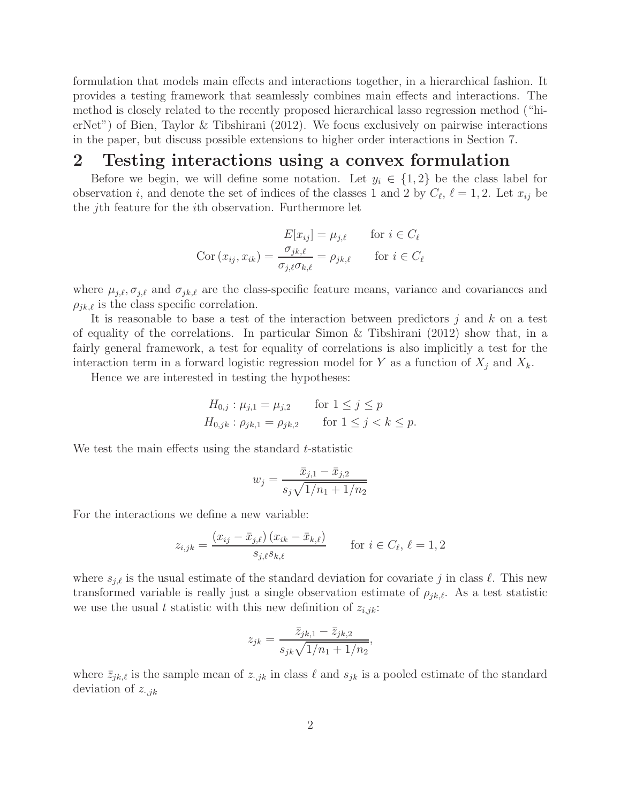formulation that models main effects and interactions together, in a hierarchical fashion. It provides a testing framework that seamlessly combines main effects and interactions. The method is closely related to the recently proposed hierarchical lasso regression method ("hierNet") of Bien, Taylor & Tibshirani (2012). We focus exclusively on pairwise interactions in the paper, but discuss possible extensions to higher order interactions in Section 7.

# 2 Testing interactions using a convex formulation

Before we begin, we will define some notation. Let  $y_i \in \{1,2\}$  be the class label for observation *i*, and denote the set of indices of the classes 1 and 2 by  $C_{\ell}$ ,  $\ell = 1, 2$ . Let  $x_{ij}$  be the jth feature for the ith observation. Furthermore let

$$
E[x_{ij}] = \mu_{j,\ell} \quad \text{for } i \in C_{\ell}
$$
  
Cor  $(x_{ij}, x_{ik}) = \frac{\sigma_{jk,\ell}}{\sigma_{j,\ell}\sigma_{k,\ell}} = \rho_{jk,\ell} \quad \text{for } i \in C_{\ell}$ 

where  $\mu_{j,\ell}, \sigma_{j,\ell}$  and  $\sigma_{jk,\ell}$  are the class-specific feature means, variance and covariances and  $\rho_{jk,\ell}$  is the class specific correlation.

It is reasonable to base a test of the interaction between predictors  $j$  and  $k$  on a test of equality of the correlations. In particular Simon & Tibshirani (2012) show that, in a fairly general framework, a test for equality of correlations is also implicitly a test for the interaction term in a forward logistic regression model for Y as a function of  $X_i$  and  $X_k$ .

Hence we are interested in testing the hypotheses:

$$
H_{0,j}: \mu_{j,1} = \mu_{j,2} \quad \text{for } 1 \le j \le p
$$
  

$$
H_{0,jk}: \rho_{jk,1} = \rho_{jk,2} \quad \text{for } 1 \le j < k \le p.
$$

We test the main effects using the standard t-statistic

$$
w_j = \frac{\bar{x}_{j,1} - \bar{x}_{j,2}}{s_j \sqrt{1/n_1 + 1/n_2}}
$$

For the interactions we define a new variable:

$$
z_{i,jk} = \frac{(x_{ij} - \bar{x}_{j,\ell})(x_{ik} - \bar{x}_{k,\ell})}{s_{j,\ell}s_{k,\ell}} \quad \text{for } i \in C_{\ell}, \ell = 1, 2
$$

where  $s_{j,\ell}$  is the usual estimate of the standard deviation for covariate j in class  $\ell$ . This new transformed variable is really just a single observation estimate of  $\rho_{jk,\ell}$ . As a test statistic we use the usual t statistic with this new definition of  $z_{i,jk}$ :

$$
z_{jk} = \frac{\bar{z}_{jk,1} - \bar{z}_{jk,2}}{s_{jk}\sqrt{1/n_1 + 1/n_2}},
$$

where  $\bar{z}_{ik,\ell}$  is the sample mean of  $z_{ijk}$  in class  $\ell$  and  $s_{ik}$  is a pooled estimate of the standard deviation of  $z_{\cdot,jk}$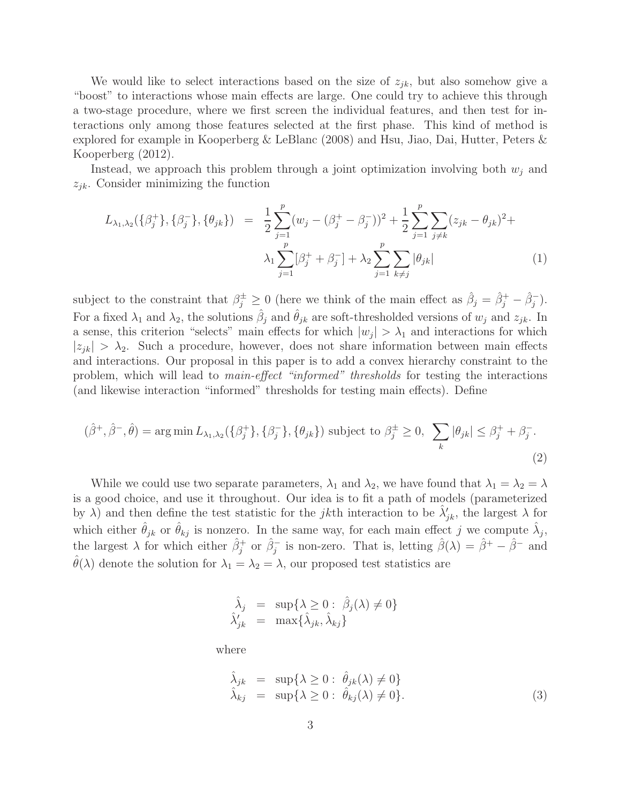We would like to select interactions based on the size of  $z_{ik}$ , but also somehow give a "boost" to interactions whose main effects are large. One could try to achieve this through a two-stage procedure, where we first screen the individual features, and then test for interactions only among those features selected at the first phase. This kind of method is explored for example in Kooperberg & LeBlanc (2008) and Hsu, Jiao, Dai, Hutter, Peters & Kooperberg (2012).

Instead, we approach this problem through a joint optimization involving both  $w_i$  and  $z_{ik}$ . Consider minimizing the function

$$
L_{\lambda_1, \lambda_2}(\{\beta_j^+\}, \{\beta_j^-\}, \{\theta_{jk}\}) = \frac{1}{2} \sum_{j=1}^p (w_j - (\beta_j^+ - \beta_j^-))^2 + \frac{1}{2} \sum_{j=1}^p \sum_{j \neq k} (z_{jk} - \theta_{jk})^2 + \lambda_1 \sum_{j=1}^p [\beta_j^+ + \beta_j^-] + \lambda_2 \sum_{j=1}^p \sum_{k \neq j} |\theta_{jk}| \tag{1}
$$

subject to the constraint that  $\beta_j^{\pm} \geq 0$  (here we think of the main effect as  $\hat{\beta}_j = \hat{\beta}_j^+ - \hat{\beta}_j^-$ ). For a fixed  $\lambda_1$  and  $\lambda_2$ , the solutions  $\hat{\beta}_j$  and  $\hat{\theta}_{jk}$  are soft-thresholded versions of  $w_j$  and  $z_{jk}$ . In a sense, this criterion "selects" main effects for which  $|w_j| > \lambda_1$  and interactions for which  $|z_{ik}| > \lambda_2$ . Such a procedure, however, does not share information between main effects and interactions. Our proposal in this paper is to add a convex hierarchy constraint to the problem, which will lead to main-effect "informed" thresholds for testing the interactions (and likewise interaction "informed" thresholds for testing main effects). Define

$$
(\hat{\beta}^+,\hat{\beta}^-,\hat{\theta}) = \arg\min L_{\lambda_1,\lambda_2}(\{\beta_j^+\},\{\beta_j^-\},\{\theta_{jk}\}) \text{ subject to } \beta_j^{\pm} \ge 0, \sum_k |\theta_{jk}| \le \beta_j^+ + \beta_j^-.
$$
\n(2)

While we could use two separate parameters,  $\lambda_1$  and  $\lambda_2$ , we have found that  $\lambda_1 = \lambda_2 = \lambda$ is a good choice, and use it throughout. Our idea is to fit a path of models (parameterized by  $\lambda$ ) and then define the test statistic for the jkth interaction to be  $\hat{\lambda}'_{jk}$ , the largest  $\lambda$  for which either  $\hat{\theta}_{jk}$  or  $\hat{\theta}_{kj}$  is nonzero. In the same way, for each main effect j we compute  $\hat{\lambda}_j$ , the largest  $\lambda$  for which either  $\hat{\beta}_j^+$  or  $\hat{\beta}_j^-$  is non-zero. That is, letting  $\hat{\beta}(\lambda) = \hat{\beta}^+ - \hat{\beta}^-$  and  $\hat{\theta}(\lambda)$  denote the solution for  $\lambda_1 = \lambda_2 = \lambda$ , our proposed test statistics are

$$
\hat{\lambda}_j = \sup{\lambda \ge 0 : \hat{\beta}_j(\lambda) \ne 0}
$$
  

$$
\hat{\lambda}'_{jk} = \max{\hat{\lambda}_{jk}, \hat{\lambda}_{kj}}
$$

where

$$
\begin{aligned}\n\hat{\lambda}_{jk} &= \sup \{ \lambda \ge 0 : \hat{\theta}_{jk}(\lambda) \ne 0 \} \\
\hat{\lambda}_{kj} &= \sup \{ \lambda \ge 0 : \hat{\theta}_{kj}(\lambda) \ne 0 \}.\n\end{aligned} \tag{3}
$$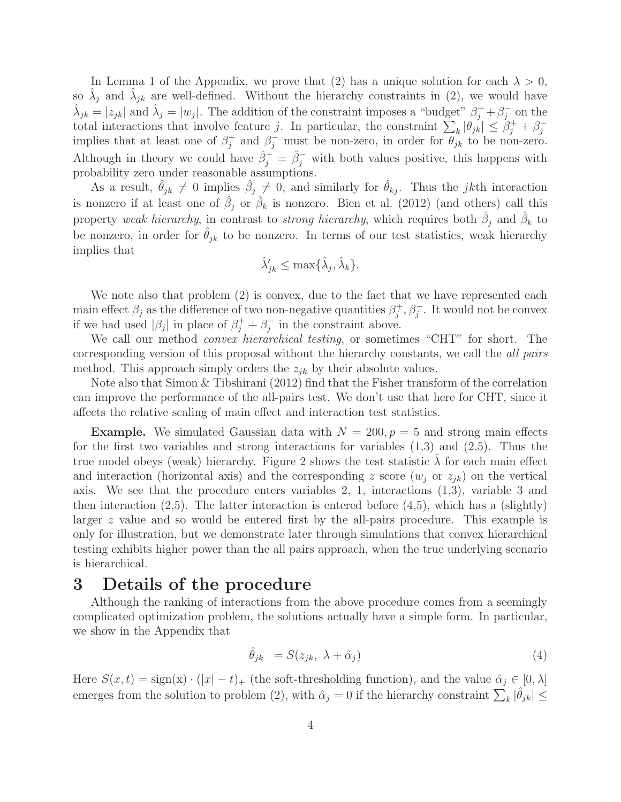In Lemma 1 of the Appendix, we prove that (2) has a unique solution for each  $\lambda > 0$ , so  $\hat{\lambda}_j$  and  $\hat{\lambda}_{jk}$  are well-defined. Without the hierarchy constraints in (2), we would have  $\hat{\lambda}_{jk} = |z_{jk}|$  and  $\hat{\lambda}_j = |w_j|$ . The addition of the constraint imposes a "budget"  $\beta_j^+ + \beta_j^ \bar{j}$  on the total interactions that involve feature j. In particular, the constraint  $\sum_k |\theta_{jk}| \leq \beta_j^+ + \beta_j^$ j implies that at least one of  $\beta_i^+$ <sup>+</sup> and  $\beta_j^-$  must be non-zero, in order for  $\theta_{jk}$  to be non-zero. Although in theory we could have  $\hat{\beta}_j^+ = \hat{\beta}_j^-$  with both values positive, this happens with probability zero under reasonable assumptions.

As a result,  $\hat{\theta}_{jk} \neq 0$  implies  $\hat{\beta}_j \neq 0$ , and similarly for  $\hat{\theta}_{kj}$ . Thus the *jkth* interaction is nonzero if at least one of  $\hat{\beta}_j$  or  $\hat{\beta}_k$  is nonzero. Bien et al. (2012) (and others) call this property weak hierarchy, in contrast to *strong hierarchy*, which requires both  $\hat{\beta}_j$  and  $\hat{\beta}_k$  to be nonzero, in order for  $\hat{\theta}_{jk}$  to be nonzero. In terms of our test statistics, weak hierarchy implies that

$$
\hat{\lambda}'_{jk} \le \max\{\hat{\lambda}_j, \hat{\lambda}_k\}.
$$

We note also that problem  $(2)$  is convex, due to the fact that we have represented each main effect  $\beta_j$  as the difference of two non-negative quantities  $\beta_j^+$  $j^{\dagger}, \beta_j^{-}$ . It would not be convex if we had used  $|\beta_j|$  in place of  $\beta_j^+$  +  $\beta_j^$  $j$  in the constraint above.

We call our method *convex hierarchical testing*, or sometimes "CHT" for short. The corresponding version of this proposal without the hierarchy constants, we call the all pairs method. This approach simply orders the  $z_{ik}$  by their absolute values.

Note also that Simon & Tibshirani (2012) find that the Fisher transform of the correlation can improve the performance of the all-pairs test. We don't use that here for CHT, since it affects the relative scaling of main effect and interaction test statistics.

**Example.** We simulated Gaussian data with  $N = 200, p = 5$  and strong main effects for the first two variables and strong interactions for variables  $(1,3)$  and  $(2,5)$ . Thus the true model obeys (weak) hierarchy. Figure 2 shows the test statistic  $\lambda$  for each main effect and interaction (horizontal axis) and the corresponding z score  $(w_i \text{ or } z_{ik})$  on the vertical axis. We see that the procedure enters variables 2, 1, interactions (1,3), variable 3 and then interaction  $(2,5)$ . The latter interaction is entered before  $(4,5)$ , which has a (slightly) larger z value and so would be entered first by the all-pairs procedure. This example is only for illustration, but we demonstrate later through simulations that convex hierarchical testing exhibits higher power than the all pairs approach, when the true underlying scenario is hierarchical.

# 3 Details of the procedure

Although the ranking of interactions from the above procedure comes from a seemingly complicated optimization problem, the solutions actually have a simple form. In particular, we show in the Appendix that

$$
\hat{\theta}_{jk} = S(z_{jk}, \lambda + \hat{\alpha}_j) \tag{4}
$$

Here  $S(x,t) = sign(x) \cdot (|x| - t)$  (the soft-thresholding function), and the value  $\hat{\alpha}_j \in [0, \lambda]$ emerges from the solution to problem (2), with  $\hat{\alpha}_j = 0$  if the hierarchy constraint  $\sum_k |\hat{\theta}_{jk}| \leq$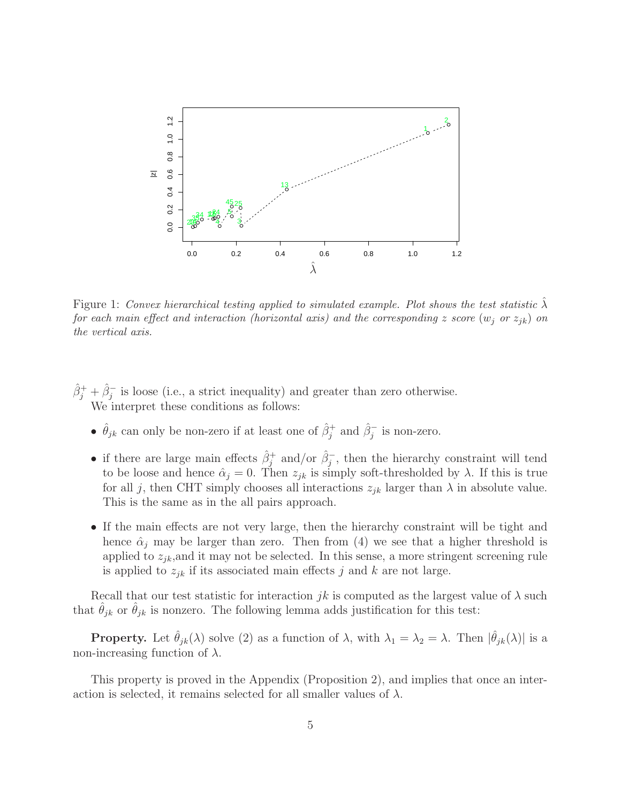

Figure 1: Convex hierarchical testing applied to simulated example. Plot shows the test statistic  $\lambda$ for each main effect and interaction (horizontal axis) and the corresponding z score  $(w_j \text{ or } z_{jk})$  on the vertical axis.

 $\hat{\beta}_j^+ + \hat{\beta}_j^-$  is loose (i.e., a strict inequality) and greater than zero otherwise. We interpret these conditions as follows:

- $\hat{\theta}_{jk}$  can only be non-zero if at least one of  $\hat{\beta}_j^+$  and  $\hat{\beta}_j^-$  is non-zero.
- if there are large main effects  $\hat{\beta}_j^+$  and/or  $\hat{\beta}_j^-$ , then the hierarchy constraint will tend to be loose and hence  $\hat{\alpha}_j = 0$ . Then  $z_{jk}$  is simply soft-thresholded by  $\lambda$ . If this is true for all j, then CHT simply chooses all interactions  $z_{jk}$  larger than  $\lambda$  in absolute value. This is the same as in the all pairs approach.
- If the main effects are not very large, then the hierarchy constraint will be tight and hence  $\hat{\alpha}_j$  may be larger than zero. Then from (4) we see that a higher threshold is applied to  $z_{ik}$ , and it may not be selected. In this sense, a more stringent screening rule is applied to  $z_{jk}$  if its associated main effects j and k are not large.

Recall that our test statistic for interaction jk is computed as the largest value of  $\lambda$  such that  $\theta_{jk}$  or  $\theta_{jk}$  is nonzero. The following lemma adds justification for this test:

**Property.** Let  $\hat{\theta}_{jk}(\lambda)$  solve (2) as a function of  $\lambda$ , with  $\lambda_1 = \lambda_2 = \lambda$ . Then  $|\hat{\theta}_{jk}(\lambda)|$  is a non-increasing function of  $\lambda$ .

This property is proved in the Appendix (Proposition 2), and implies that once an interaction is selected, it remains selected for all smaller values of  $\lambda$ .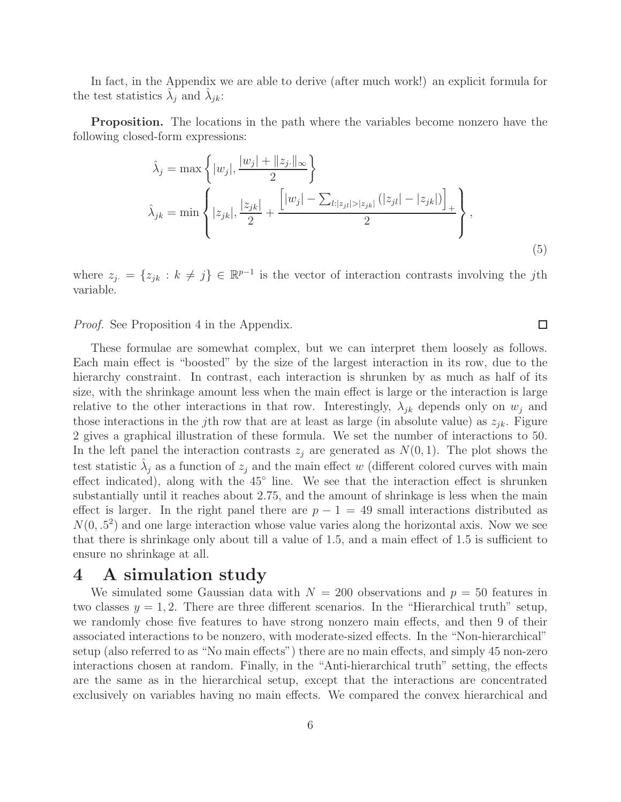In fact, in the Appendix we are able to derive (after much work!) an explicit formula for the test statistics  $\hat{\lambda}_j$  and  $\hat{\lambda}_{jk}$ :

**Proposition.** The locations in the path where the variables become nonzero have the following closed-form expressions:

$$
\hat{\lambda}_{j} = \max \left\{ |w_{j}|, \frac{|w_{j}| + ||z_{j}||_{\infty}}{2} \right\}
$$
\n
$$
\hat{\lambda}_{jk} = \min \left\{ |z_{jk}|, \frac{|z_{jk}|}{2} + \frac{\left[|w_{j}| - \sum_{l:|z_{jl}| > |z_{jk}|} (|z_{jl}| - |z_{jk}|) \right]_{+}}{2} \right\},\tag{5}
$$

 $\Box$ 

where  $z_j = \{z_{jk} : k \neq j\} \in \mathbb{R}^{p-1}$  is the vector of interaction contrasts involving the jth variable.

*Proof.* See Proposition 4 in the Appendix.

These formulae are somewhat complex, but we can interpret them loosely as follows. Each main effect is "boosted" by the size of the largest interaction in its row, due to the hierarchy constraint. In contrast, each interaction is shrunken by as much as half of its size, with the shrinkage amount less when the main effect is large or the interaction is large relative to the other interactions in that row. Interestingly,  $\lambda_{jk}$  depends only on  $w_j$  and those interactions in the jth row that are at least as large (in absolute value) as  $z_{jk}$ . Figure 2 gives a graphical illustration of these formula. We set the number of interactions to 50. In the left panel the interaction contrasts  $z_j$  are generated as  $N(0, 1)$ . The plot shows the test statistic  $\hat{\lambda}_j$  as a function of  $z_j$  and the main effect w (different colored curves with main effect indicated), along with the 45° line. We see that the interaction effect is shrunken substantially until it reaches about 2.75, and the amount of shrinkage is less when the main effect is larger. In the right panel there are  $p - 1 = 49$  small interactions distributed as  $N(0, .5^2)$  and one large interaction whose value varies along the horizontal axis. Now we see that there is shrinkage only about till a value of 1.5, and a main effect of 1.5 is sufficient to ensure no shrinkage at all.

# 4 A simulation study

We simulated some Gaussian data with  $N = 200$  observations and  $p = 50$  features in two classes  $y = 1, 2$ . There are three different scenarios. In the "Hierarchical truth" setup, we randomly chose five features to have strong nonzero main effects, and then 9 of their associated interactions to be nonzero, with moderate-sized effects. In the "Non-hierarchical" setup (also referred to as "No main effects") there are no main effects, and simply 45 non-zero interactions chosen at random. Finally, in the "Anti-hierarchical truth" setting, the effects are the same as in the hierarchical setup, except that the interactions are concentrated exclusively on variables having no main effects. We compared the convex hierarchical and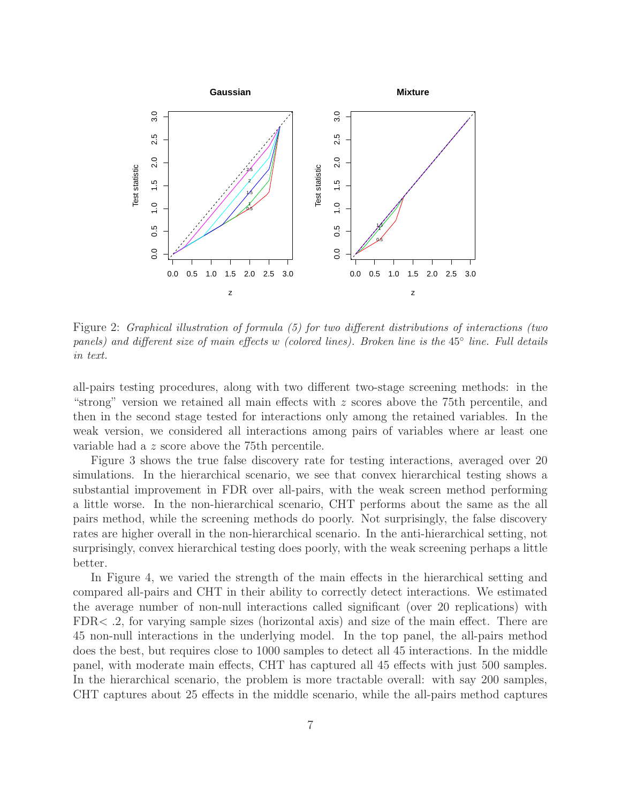

Figure 2: Graphical illustration of formula (5) for two different distributions of interactions (two panels) and different size of main effects w (colored lines). Broken line is the 45° line. Full details in text.

all-pairs testing procedures, along with two different two-stage screening methods: in the "strong" version we retained all main effects with z scores above the 75th percentile, and then in the second stage tested for interactions only among the retained variables. In the weak version, we considered all interactions among pairs of variables where ar least one variable had a z score above the 75th percentile.

Figure 3 shows the true false discovery rate for testing interactions, averaged over 20 simulations. In the hierarchical scenario, we see that convex hierarchical testing shows a substantial improvement in FDR over all-pairs, with the weak screen method performing a little worse. In the non-hierarchical scenario, CHT performs about the same as the all pairs method, while the screening methods do poorly. Not surprisingly, the false discovery rates are higher overall in the non-hierarchical scenario. In the anti-hierarchical setting, not surprisingly, convex hierarchical testing does poorly, with the weak screening perhaps a little better.

In Figure 4, we varied the strength of the main effects in the hierarchical setting and compared all-pairs and CHT in their ability to correctly detect interactions. We estimated the average number of non-null interactions called significant (over 20 replications) with FDR< .2, for varying sample sizes (horizontal axis) and size of the main effect. There are 45 non-null interactions in the underlying model. In the top panel, the all-pairs method does the best, but requires close to 1000 samples to detect all 45 interactions. In the middle panel, with moderate main effects, CHT has captured all 45 effects with just 500 samples. In the hierarchical scenario, the problem is more tractable overall: with say 200 samples, CHT captures about 25 effects in the middle scenario, while the all-pairs method captures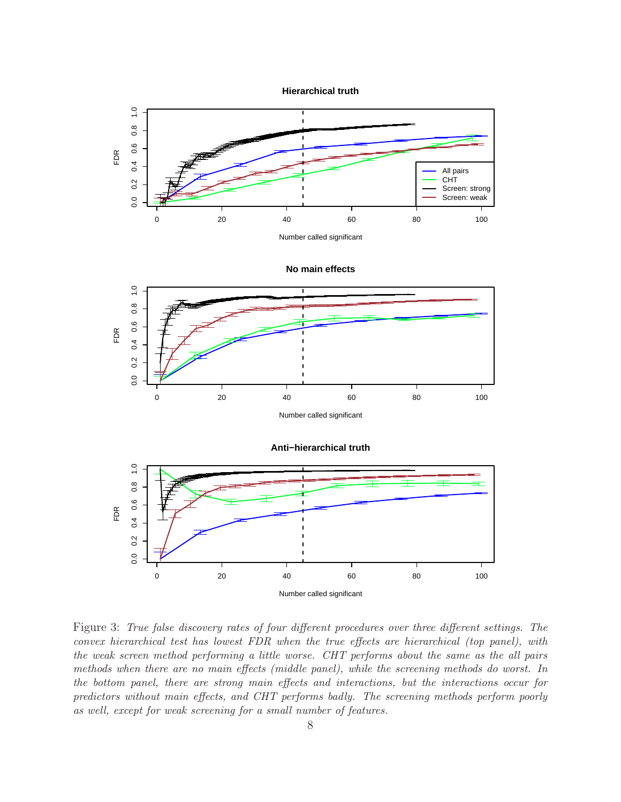



Number called significant



**No main effects**

**Anti−hierarchical truth**



Figure 3: True false discovery rates of four different procedures over three different settings. The convex hierarchical test has lowest FDR when the true effects are hierarchical (top panel), with the weak screen method performing a little worse. CHT performs about the same as the all pairs methods when there are no main effects (middle panel), while the screening methods do worst. In the bottom panel, there are strong main effects and interactions, but the interactions occur for predictors without main effects, and CHT performs badly. The screening methods perform poorly as well, except for weak screening for a small number of features.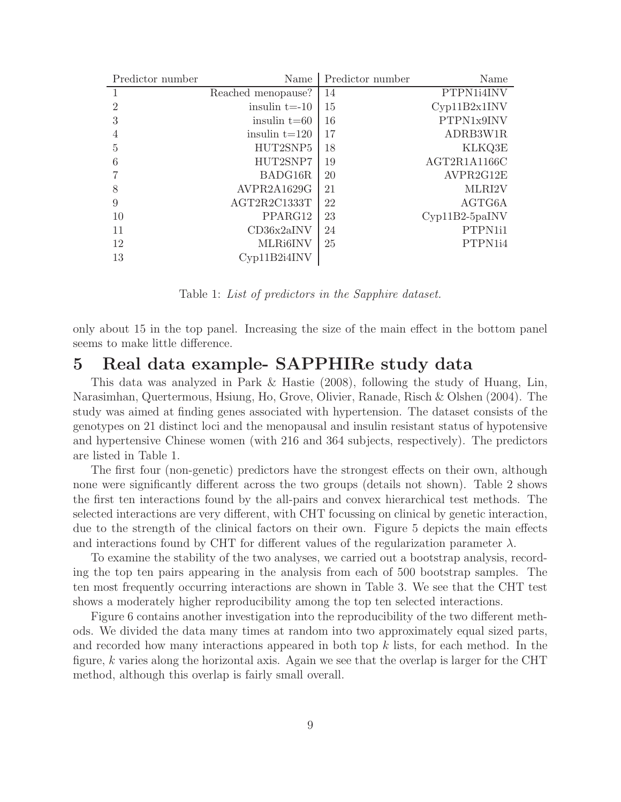| Predictor number | Name               | Predictor number | Name           |
|------------------|--------------------|------------------|----------------|
|                  | Reached menopause? | 14               | PTPN1i4INV     |
| $\overline{2}$   | insulin $t = -10$  | 15               | Cyp11B2x1INV   |
| 3                | insulin $t=60$     | 16               | PTPN1x9INV     |
| 4                | insulin $t=120$    | 17               | ADRB3W1R       |
| $\overline{5}$   | HUT2SNP5           | 18               | KLKQ3E         |
| 6                | HUT2SNP7           | 19               | AGT2R1A1166C   |
|                  | BADG16R            | <b>20</b>        | AVPR2G12E      |
| 8                | AVPR2A1629G        | 21               | MLRI2V         |
| 9                | AGT2R2C1333T       | 22               | AGTG6A         |
| 10               | PPARG12            | 23               | Cyp11B2-5paINV |
| 11               | CD36x2aINV         | 24               | PTPN1i1        |
| 12               | MLRi6INV           | 25               | PTPN1i4        |
| 13               | Cvp11B2i4INV       |                  |                |

Table 1: List of predictors in the Sapphire dataset.

only about 15 in the top panel. Increasing the size of the main effect in the bottom panel seems to make little difference.

# 5 Real data example- SAPPHIRe study data

This data was analyzed in Park & Hastie (2008), following the study of Huang, Lin, Narasimhan, Quertermous, Hsiung, Ho, Grove, Olivier, Ranade, Risch & Olshen (2004). The study was aimed at finding genes associated with hypertension. The dataset consists of the genotypes on 21 distinct loci and the menopausal and insulin resistant status of hypotensive and hypertensive Chinese women (with 216 and 364 subjects, respectively). The predictors are listed in Table 1.

The first four (non-genetic) predictors have the strongest effects on their own, although none were significantly different across the two groups (details not shown). Table 2 shows the first ten interactions found by the all-pairs and convex hierarchical test methods. The selected interactions are very different, with CHT focussing on clinical by genetic interaction, due to the strength of the clinical factors on their own. Figure 5 depicts the main effects and interactions found by CHT for different values of the regularization parameter  $\lambda$ .

To examine the stability of the two analyses, we carried out a bootstrap analysis, recording the top ten pairs appearing in the analysis from each of 500 bootstrap samples. The ten most frequently occurring interactions are shown in Table 3. We see that the CHT test shows a moderately higher reproducibility among the top ten selected interactions.

Figure 6 contains another investigation into the reproducibility of the two different methods. We divided the data many times at random into two approximately equal sized parts, and recorded how many interactions appeared in both top k lists, for each method. In the figure, k varies along the horizontal axis. Again we see that the overlap is larger for the CHT method, although this overlap is fairly small overall.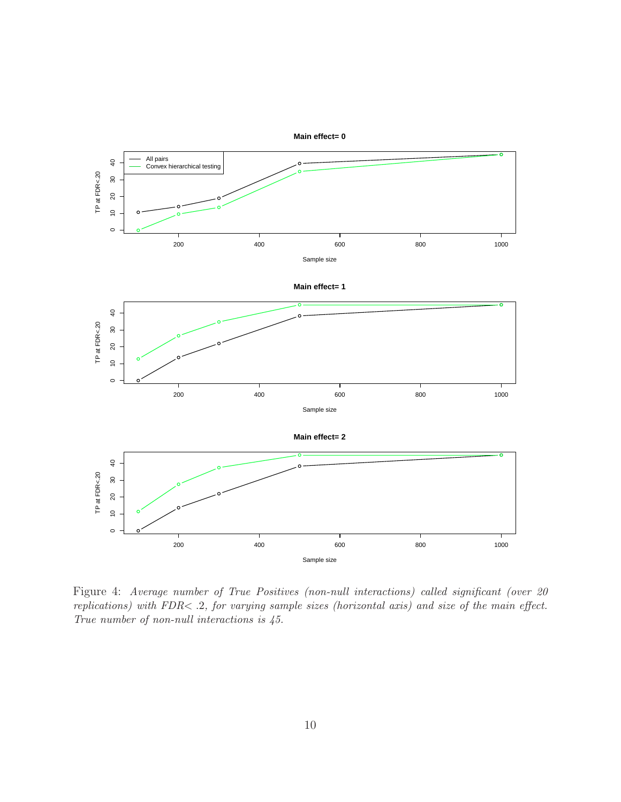

Figure 4: Average number of True Positives (non-null interactions) called significant (over 20 replications) with FDR< .2, for varying sample sizes (horizontal axis) and size of the main effect. True number of non-null interactions is 45.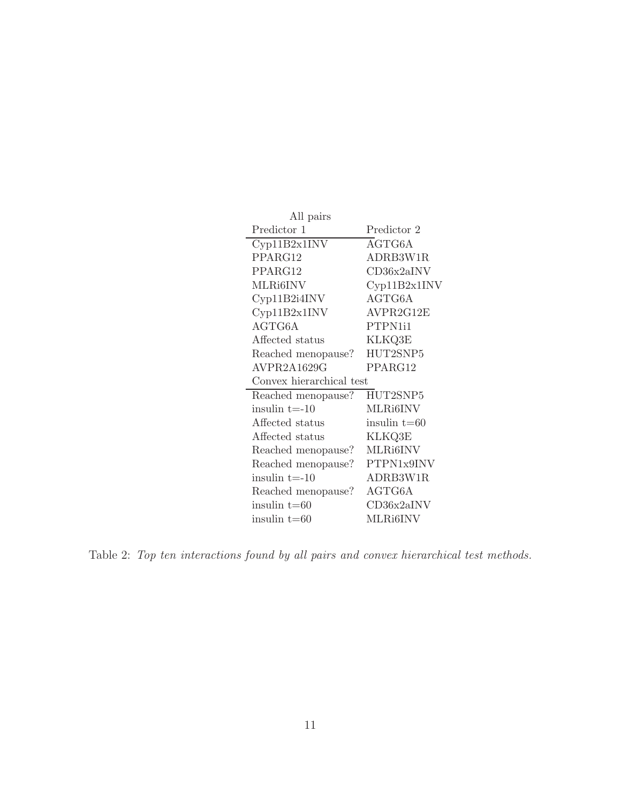| All pairs                |                |  |  |  |
|--------------------------|----------------|--|--|--|
| Predictor 1              | Predictor 2    |  |  |  |
| Cyp11B2x1INV             | AGTG6A         |  |  |  |
| PPARG12                  | ADRB3W1R       |  |  |  |
| PPARG12                  | CD36x2aINV     |  |  |  |
| MLRi6INV                 | Cyp11B2x1INV   |  |  |  |
| Cyp11B2i4INV             | AGTG6A         |  |  |  |
| Cyp11B2x1INV             | AVPR2G12E      |  |  |  |
| AGTG6A                   | PTPN1i1        |  |  |  |
| Affected status          | KLKQ3E         |  |  |  |
| Reached menopause?       | HUT2SNP5       |  |  |  |
| AVPR2A1629G              | PPARG12        |  |  |  |
| Convex hierarchical test |                |  |  |  |
| Reached menopause?       | HUT2SNP5       |  |  |  |
| insulin $t = -10$        | MLRi6INV       |  |  |  |
| Affected status          | insulin $t=60$ |  |  |  |
| Affected status          | KLKQ3E         |  |  |  |
| Reached menopause?       | MLRi6INV       |  |  |  |
| Reached menopause?       | PTPN1x9INV     |  |  |  |
| insulin $t = -10$        | ADRB3W1R       |  |  |  |
| Reached menopause?       | AGTG6A         |  |  |  |
| insulin $t=60$           | CD36x2aINV     |  |  |  |
| insulin $t = 60$         | MLRi6INV       |  |  |  |

Table 2: Top ten interactions found by all pairs and convex hierarchical test methods.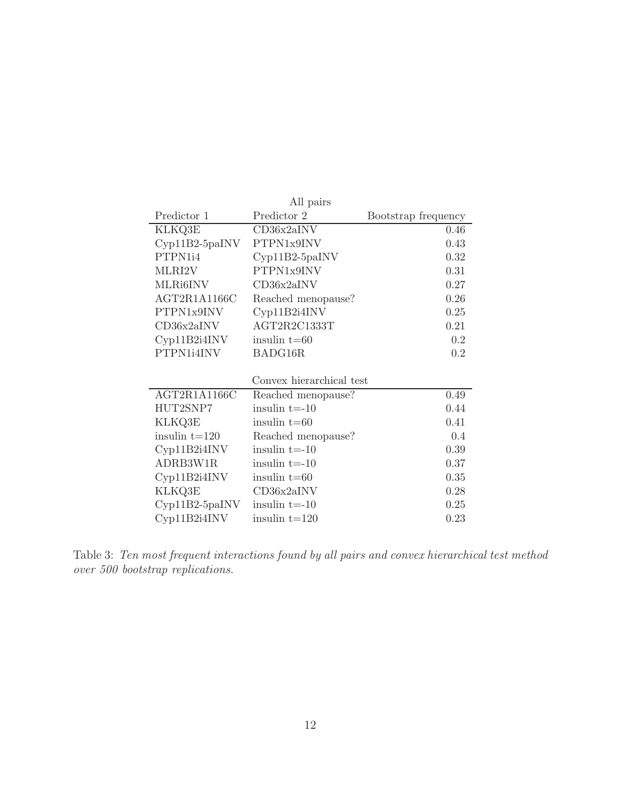|                  | All pairs                |                     |
|------------------|--------------------------|---------------------|
| Predictor 1      | Predictor 2              | Bootstrap frequency |
| KLKQ3E           | CD36x2aINV               | 0.46                |
| $Cyp11B2-5paINV$ | PTPN1x9INV               | 0.43                |
| PTPN1i4          | $Cyp11B2-5paINV$         | 0.32                |
| MLRI2V           | PTPN1x9INV               | 0.31                |
| MLRi6INV         | CD36x2aINV               | 0.27                |
| AGT2R1A1166C     | Reached menopause?       | 0.26                |
| PTPN1x9INV       | Cyp11B2i4INV             | 0.25                |
| CD36x2aINV       | AGT2R2C1333T             | 0.21                |
| Cyp11B2i4INV     | insulin $t=60$           | 0.2                 |
| PTPN1i4INV       | BADG16R                  | 0.2                 |
|                  |                          |                     |
|                  | Convex hierarchical test |                     |
| AGT2R1A1166C     | Reached menopause?       | 0.49                |
| HUT2SNP7         | insulin $t = -10$        | 0.44                |
| KLKQ3E           | insulin $t=60$           | 0.41                |
| insulin $t=120$  | Reached menopause?       | 0.4                 |
| Cyp11B2i4INV     | insulin $t = -10$        | 0.39                |
| ADRB3W1R         | insulin $t = -10$        | 0.37                |
| Cyp11B2i4INV     | insulin $t=60$           | 0.35                |
| KLKQ3E           | CD36x2aINV               | 0.28                |
| $Cyp11B2-5paINV$ | insulin $t = -10$        | 0.25                |
| Cyp11B2i4INV     | insulin $t=120$          | 0.23                |

Table 3: Ten most frequent interactions found by all pairs and convex hierarchical test method over 500 bootstrap replications.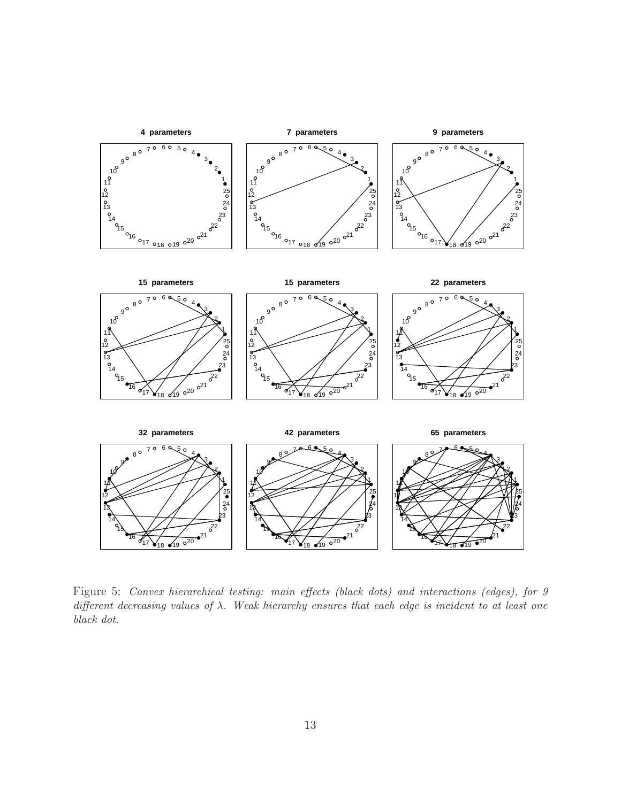

Figure 5: Convex hierarchical testing: main effects (black dots) and interactions (edges), for 9 different decreasing values of  $\lambda$ . Weak hierarchy ensures that each edge is incident to at least one black dot.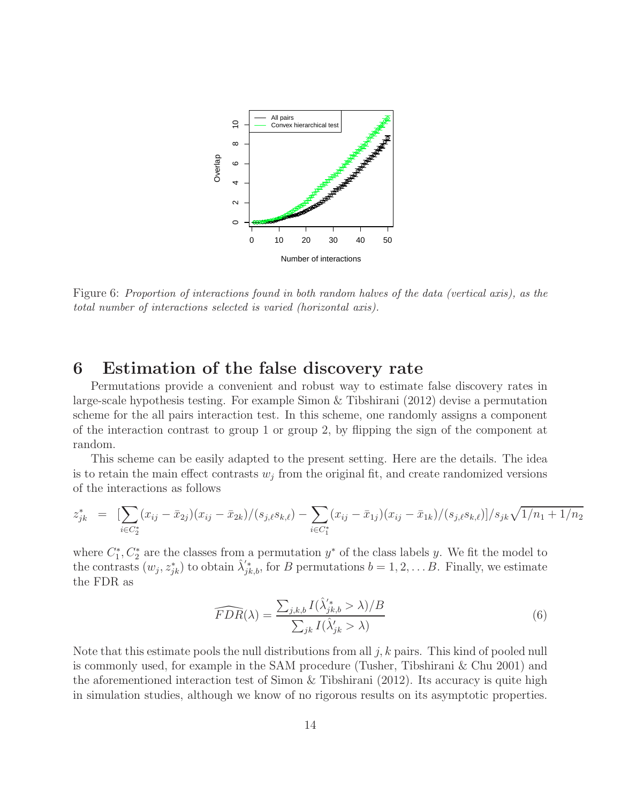

Figure 6: Proportion of interactions found in both random halves of the data (vertical axis), as the total number of interactions selected is varied (horizontal axis).

# 6 Estimation of the false discovery rate

Permutations provide a convenient and robust way to estimate false discovery rates in large-scale hypothesis testing. For example Simon & Tibshirani (2012) devise a permutation scheme for the all pairs interaction test. In this scheme, one randomly assigns a component of the interaction contrast to group 1 or group 2, by flipping the sign of the component at random.

This scheme can be easily adapted to the present setting. Here are the details. The idea is to retain the main effect contrasts  $w_j$  from the original fit, and create randomized versions of the interactions as follows

$$
z_{jk}^{*} = \left[ \sum_{i \in C_{2}^{*}} (x_{ij} - \bar{x}_{2j})(x_{ij} - \bar{x}_{2k})/(s_{j,\ell} s_{k,\ell}) - \sum_{i \in C_{1}^{*}} (x_{ij} - \bar{x}_{1j})(x_{ij} - \bar{x}_{1k})/(s_{j,\ell} s_{k,\ell}) \right] / s_{jk} \sqrt{1/n_{1} + 1/n_{2}}
$$

where  $C_1^*, C_2^*$  are the classes from a permutation  $y^*$  of the class labels y. We fit the model to the contrasts  $(w_j, z_{jk}^*)$  to obtain  $\hat{\lambda}'_{jk,b}$ , for B permutations  $b = 1, 2, \ldots B$ . Finally, we estimate the FDR as

$$
\widehat{FDR}(\lambda) = \frac{\sum_{j,k,b} I(\hat{\lambda}'_{jk,b} > \lambda)/B}{\sum_{jk} I(\hat{\lambda}'_{jk} > \lambda)}\tag{6}
$$

Note that this estimate pools the null distributions from all  $j, k$  pairs. This kind of pooled null is commonly used, for example in the SAM procedure (Tusher, Tibshirani & Chu 2001) and the aforementioned interaction test of Simon  $\&$  Tibshirani (2012). Its accuracy is quite high in simulation studies, although we know of no rigorous results on its asymptotic properties.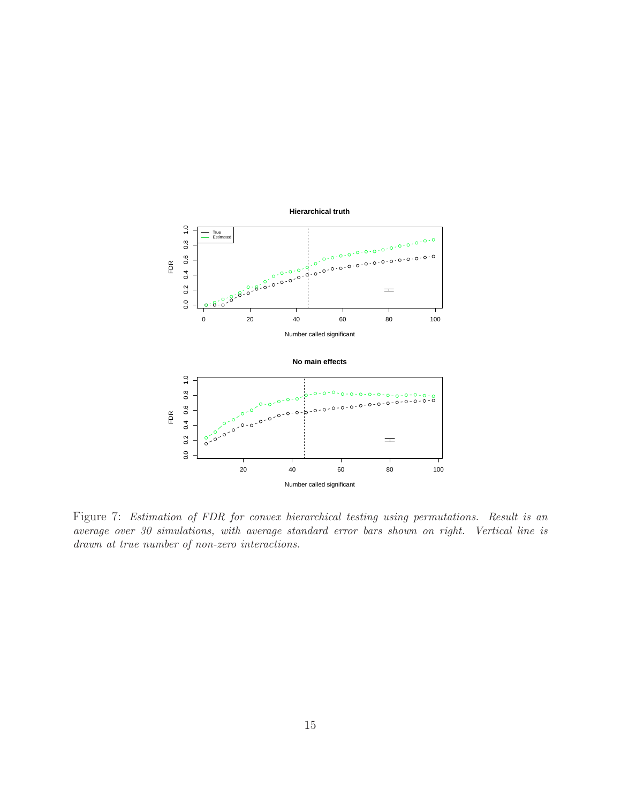

Figure 7: Estimation of FDR for convex hierarchical testing using permutations. Result is an average over 30 simulations, with average standard error bars shown on right. Vertical line is drawn at true number of non-zero interactions.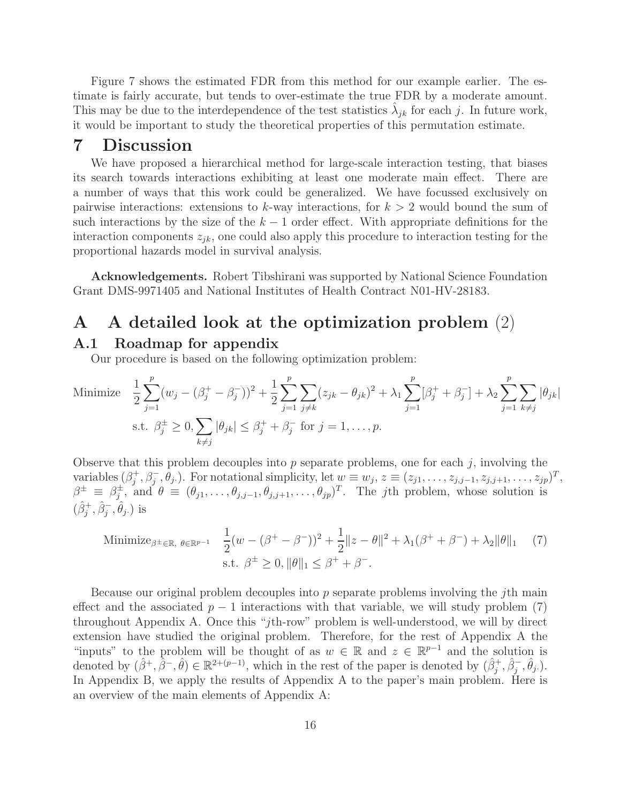Figure 7 shows the estimated FDR from this method for our example earlier. The estimate is fairly accurate, but tends to over-estimate the true FDR by a moderate amount. This may be due to the interdependence of the test statistics  $\hat{\lambda}_{jk}$  for each j. In future work, it would be important to study the theoretical properties of this permutation estimate.

## 7 Discussion

We have proposed a hierarchical method for large-scale interaction testing, that biases its search towards interactions exhibiting at least one moderate main effect. There are a number of ways that this work could be generalized. We have focussed exclusively on pairwise interactions: extensions to k-way interactions, for  $k > 2$  would bound the sum of such interactions by the size of the  $k-1$  order effect. With appropriate definitions for the interaction components  $z_{jk}$ , one could also apply this procedure to interaction testing for the proportional hazards model in survival analysis.

Acknowledgements. Robert Tibshirani was supported by National Science Foundation Grant DMS-9971405 and National Institutes of Health Contract N01-HV-28183.

# A A detailed look at the optimization problem (2) A.1 Roadmap for appendix

Our procedure is based on the following optimization problem:

Minimize 
$$
\frac{1}{2} \sum_{j=1}^{p} (w_j - (\beta_j^+ - \beta_j^-))^2 + \frac{1}{2} \sum_{j=1}^{p} \sum_{j \neq k} (z_{jk} - \theta_{jk})^2 + \lambda_1 \sum_{j=1}^{p} [\beta_j^+ + \beta_j^-] + \lambda_2 \sum_{j=1}^{p} \sum_{k \neq j} |\theta_{jk}|
$$
  
s.t.  $\beta_j^{\pm} \ge 0$ ,  $\sum_{k \neq j} |\theta_{jk}| \le \beta_j^+ + \beta_j^-$  for  $j = 1, ..., p$ .

Observe that this problem decouples into  $p$  separate problems, one for each  $j$ , involving the variables  $(\beta_i^+)$  $j^+, \beta_j^-, \theta_j$ . For notational simplicity, let  $w \equiv w_j$ ,  $z \equiv (z_{j1}, \ldots, z_{j,j-1}, z_{j,j+1}, \ldots, z_{jp})^T$ ,  $\beta^{\pm} \equiv \beta_i^{\pm}$  $j_j^{\pm}$ , and  $\theta \equiv (\theta_{j1}, \ldots, \theta_{j,j-1}, \theta_{j,j+1}, \ldots, \theta_{jp})^T$ . The jth problem, whose solution is  $(\hat{\beta}^+_j, \hat{\beta}^-_j, \hat{\theta}_j)$  is

Minimize<sub>$$
\beta^{\pm}
$$
  $\in \mathbb{R}$ ,  $\theta \in \mathbb{R}^{p-1}$   $\frac{1}{2}(w - (\beta^+ - \beta^-))^2 + \frac{1}{2}||z - \theta||^2 + \lambda_1(\beta^+ + \beta^-) + \lambda_2||\theta||_1$  (7)  
s.t.  $\beta^{\pm} \ge 0$ ,  $||\theta||_1 \le \beta^+ + \beta^-$ .</sub>

Because our original problem decouples into p separate problems involving the *j*th main effect and the associated  $p-1$  interactions with that variable, we will study problem (7) throughout Appendix A. Once this "jth-row" problem is well-understood, we will by direct extension have studied the original problem. Therefore, for the rest of Appendix A the "inputs" to the problem will be thought of as  $w \in \mathbb{R}$  and  $z \in \mathbb{R}^{p-1}$  and the solution is denoted by  $(\hat{\beta}^+, \hat{\beta}^-, \hat{\theta}) \in \mathbb{R}^{2+(p-1)}$ , which in the rest of the paper is denoted by  $(\hat{\beta}_j^+, \hat{\beta}_j^-, \hat{\theta}_j)$ . In Appendix B, we apply the results of Appendix A to the paper's main problem. Here is an overview of the main elements of Appendix A: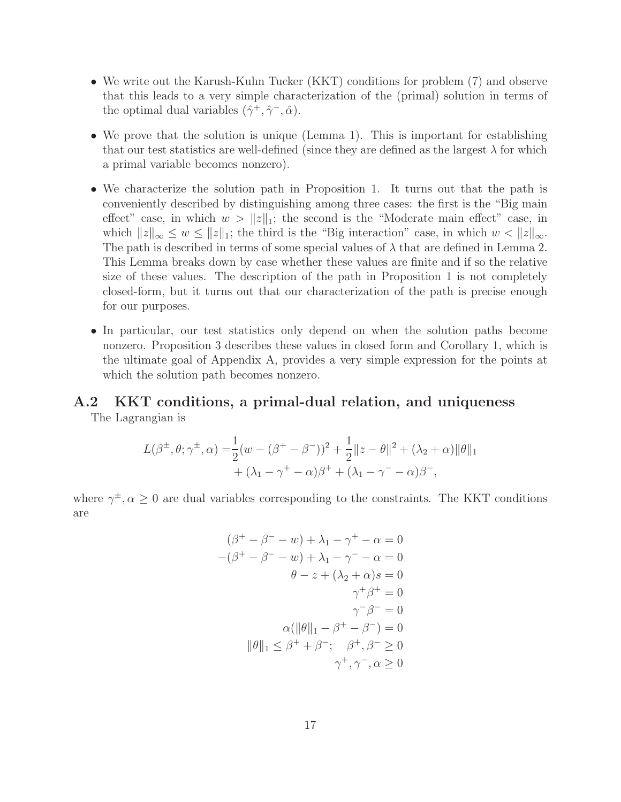- We write out the Karush-Kuhn Tucker (KKT) conditions for problem (7) and observe that this leads to a very simple characterization of the (primal) solution in terms of the optimal dual variables  $(\hat{\gamma}^+, \hat{\gamma}^-, \hat{\alpha})$ .
- We prove that the solution is unique (Lemma 1). This is important for establishing that our test statistics are well-defined (since they are defined as the largest  $\lambda$  for which a primal variable becomes nonzero).
- We characterize the solution path in Proposition 1. It turns out that the path is conveniently described by distinguishing among three cases: the first is the "Big main effect" case, in which  $w > ||z||_1$ ; the second is the "Moderate main effect" case, in which  $||z||_{\infty} \leq w \leq ||z||_1$ ; the third is the "Big interaction" case, in which  $w < ||z||_{\infty}$ . The path is described in terms of some special values of  $\lambda$  that are defined in Lemma 2. This Lemma breaks down by case whether these values are finite and if so the relative size of these values. The description of the path in Proposition 1 is not completely closed-form, but it turns out that our characterization of the path is precise enough for our purposes.
- In particular, our test statistics only depend on when the solution paths become nonzero. Proposition 3 describes these values in closed form and Corollary 1, which is the ultimate goal of Appendix A, provides a very simple expression for the points at which the solution path becomes nonzero.

### A.2 KKT conditions, a primal-dual relation, and uniqueness The Lagrangian is

$$
L(\beta^{\pm}, \theta; \gamma^{\pm}, \alpha) = \frac{1}{2}(w - (\beta^+ - \beta^-))^2 + \frac{1}{2}||z - \theta||^2 + (\lambda_2 + \alpha) ||\theta||_1 + (\lambda_1 - \gamma^+ - \alpha)\beta^+ + (\lambda_1 - \gamma^- - \alpha)\beta^-,
$$

where  $\gamma^{\pm}, \alpha \geq 0$  are dual variables corresponding to the constraints. The KKT conditions are

$$
(\beta^+ - \beta^- - w) + \lambda_1 - \gamma^+ - \alpha = 0
$$

$$
-(\beta^+ - \beta^- - w) + \lambda_1 - \gamma^- - \alpha = 0
$$

$$
\theta - z + (\lambda_2 + \alpha)s = 0
$$

$$
\gamma^+\beta^+ = 0
$$

$$
\gamma^-\beta^- = 0
$$

$$
\alpha(\|\theta\|_1 - \beta^+ - \beta^-) = 0
$$

$$
\|\theta\|_1 \leq \beta^+ + \beta^-; \quad \beta^+, \beta^- \geq 0
$$

$$
\gamma^+, \gamma^-, \alpha \geq 0
$$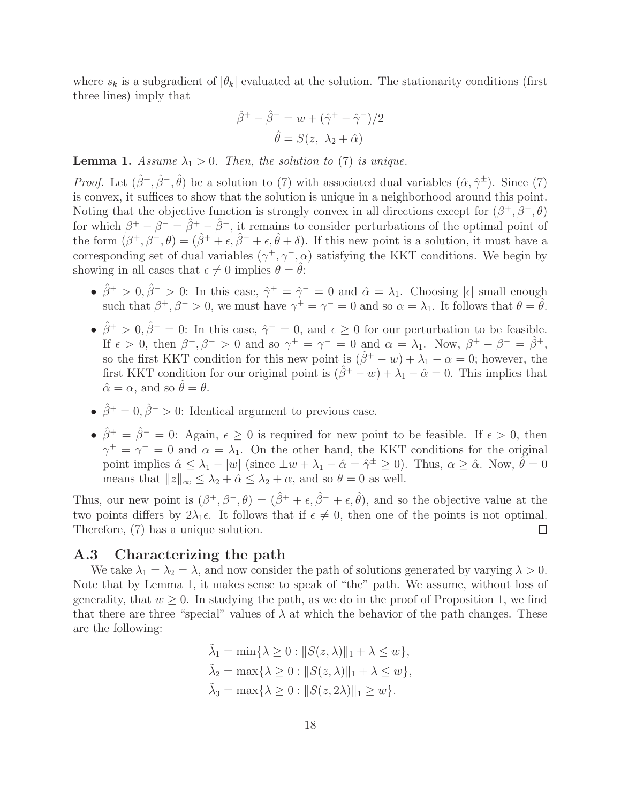where  $s_k$  is a subgradient of  $|\theta_k|$  evaluated at the solution. The stationarity conditions (first three lines) imply that

$$
\hat{\beta}^+ - \hat{\beta}^- = w + (\hat{\gamma}^+ - \hat{\gamma}^-)/2
$$

$$
\hat{\theta} = S(z, \ \lambda_2 + \hat{\alpha})
$$

### **Lemma 1.** Assume  $\lambda_1 > 0$ . Then, the solution to (7) is unique.

*Proof.* Let  $(\hat{\beta}^+, \hat{\beta}^-, \hat{\theta})$  be a solution to (7) with associated dual variables  $(\hat{\alpha}, \hat{\gamma}^{\pm})$ . Since (7) is convex, it suffices to show that the solution is unique in a neighborhood around this point. Noting that the objective function is strongly convex in all directions except for  $(\beta^+, \beta^-, \theta)$ for which  $\beta^+ - \beta^- = \hat{\beta}^+ - \hat{\beta}^-$ , it remains to consider perturbations of the optimal point of the form  $(\beta^+, \beta^-, \theta) = (\hat{\beta}^+ + \epsilon, \hat{\beta}^- + \epsilon, \hat{\theta} + \delta)$ . If this new point is a solution, it must have a corresponding set of dual variables  $(\gamma^+, \gamma^-, \alpha)$  satisfying the KKT conditions. We begin by showing in all cases that  $\epsilon \neq 0$  implies  $\theta = \theta$ :

- $\hat{\beta}^+ > 0$ ,  $\hat{\beta}^- > 0$ : In this case,  $\hat{\gamma}^+ = \hat{\gamma}^- = 0$  and  $\hat{\alpha} = \lambda_1$ . Choosing  $|\epsilon|$  small enough such that  $\beta^+, \beta^- > 0$ , we must have  $\gamma^+ = \gamma^- = 0$  and so  $\alpha = \lambda_1$ . It follows that  $\theta = \hat{\theta}$ .
- $\hat{\beta}^+ > 0$ ,  $\hat{\beta}^- = 0$ : In this case,  $\hat{\gamma}^+ = 0$ , and  $\epsilon \geq 0$  for our perturbation to be feasible. If  $\epsilon > 0$ , then  $\beta^+, \beta^- > 0$  and so  $\gamma^+ = \gamma^- = 0$  and  $\alpha = \lambda_1$ . Now,  $\beta^+ - \beta^- = \hat{\beta}^+,$ so the first KKT condition for this new point is  $(\hat{\beta}^+ - w) + \lambda_1 - \alpha = 0$ ; however, the first KKT condition for our original point is  $(\hat{\beta}^+ - w) + \lambda_1 - \hat{\alpha} = 0$ . This implies that  $\hat{\alpha} = \alpha$ , and so  $\theta = \theta$ .
- $\hat{\beta}^+ = 0$ ,  $\hat{\beta}^- > 0$ : Identical argument to previous case.
- $\hat{\beta}^+ = \hat{\beta}^- = 0$ : Again,  $\epsilon \geq 0$  is required for new point to be feasible. If  $\epsilon > 0$ , then  $\gamma^+ = \gamma^- = 0$  and  $\alpha = \lambda_1$ . On the other hand, the KKT conditions for the original point implies  $\hat{\alpha} \leq \lambda_1 - |w|$  (since  $\pm w + \lambda_1 - \hat{\alpha} = \hat{\gamma}^{\pm} \geq 0$ ). Thus,  $\alpha \geq \hat{\alpha}$ . Now,  $\hat{\theta} = 0$ means that  $||z||_{\infty} \leq \lambda_2 + \hat{\alpha} \leq \lambda_2 + \alpha$ , and so  $\theta = 0$  as well.

Thus, our new point is  $(\beta^+, \beta^-, \theta) = (\hat{\beta}^+ + \epsilon, \hat{\beta}^- + \epsilon, \hat{\theta})$ , and so the objective value at the two points differs by  $2\lambda_1\epsilon$ . It follows that if  $\epsilon \neq 0$ , then one of the points is not optimal. Therefore, (7) has a unique solution.  $\Box$ 

### A.3 Characterizing the path

We take  $\lambda_1 = \lambda_2 = \lambda$ , and now consider the path of solutions generated by varying  $\lambda > 0$ . Note that by Lemma 1, it makes sense to speak of "the" path. We assume, without loss of generality, that  $w \geq 0$ . In studying the path, as we do in the proof of Proposition 1, we find that there are three "special" values of  $\lambda$  at which the behavior of the path changes. These are the following:

$$
\tilde{\lambda}_1 = \min\{\lambda \ge 0 : ||S(z, \lambda)||_1 + \lambda \le w\},
$$
  
\n
$$
\tilde{\lambda}_2 = \max\{\lambda \ge 0 : ||S(z, \lambda)||_1 + \lambda \le w\},
$$
  
\n
$$
\tilde{\lambda}_3 = \max\{\lambda \ge 0 : ||S(z, 2\lambda)||_1 \ge w\}.
$$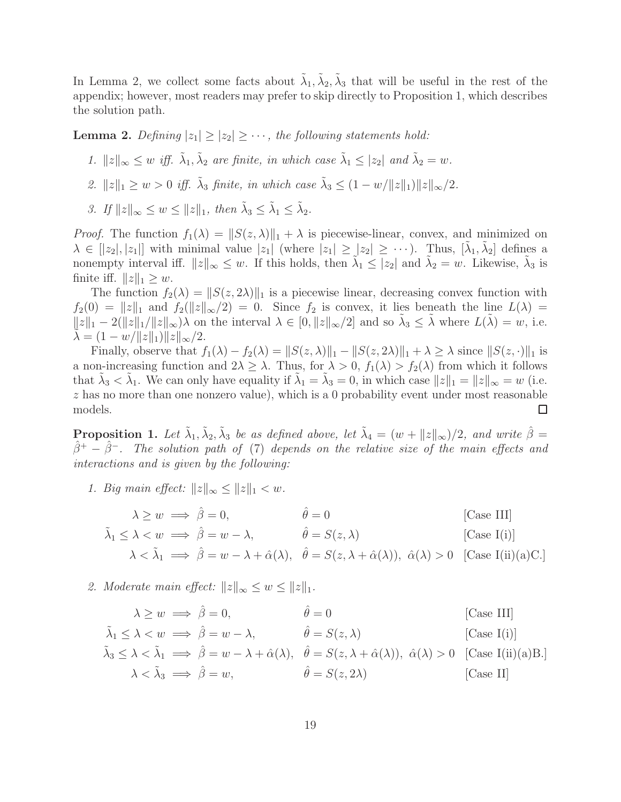In Lemma 2, we collect some facts about  $\tilde{\lambda}_1, \tilde{\lambda}_2, \tilde{\lambda}_3$  that will be useful in the rest of the appendix; however, most readers may prefer to skip directly to Proposition 1, which describes the solution path.

**Lemma 2.** Defining  $|z_1| \geq |z_2| \geq \cdots$ , the following statements hold:

- 1.  $||z||_{\infty} \leq w$  iff.  $\tilde{\lambda}_1, \tilde{\lambda}_2$  are finite, in which case  $\tilde{\lambda}_1 \leq |z_2|$  and  $\tilde{\lambda}_2 = w$ .
- 2.  $||z||_1 \geq w > 0$  iff.  $\tilde{\lambda}_3$  finite, in which case  $\tilde{\lambda}_3 \leq (1 w/||z||_1) ||z||_{\infty}/2$ .
- 3. If  $||z||_{\infty} \leq w \leq ||z||_1$ , then  $\tilde{\lambda}_3 \leq \tilde{\lambda}_1 \leq \tilde{\lambda}_2$ .

*Proof.* The function  $f_1(\lambda) = ||S(z, \lambda)||_1 + \lambda$  is piecewise-linear, convex, and minimized on  $\lambda \in [[z_2], |z_1]]$  with minimal value  $|z_1|$  (where  $|z_1| \geq |z_2| \geq \cdots$ ). Thus,  $[\tilde{\lambda}_1, \tilde{\lambda}_2]$  defines a nonempty interval iff.  $||z||_{\infty} \leq w$ . If this holds, then  $\tilde{\lambda}_1 \leq |z_2|$  and  $\tilde{\lambda}_2 = w$ . Likewise,  $\tilde{\lambda}_3$  is finite iff.  $||z||_1 \geq w$ .

The function  $f_2(\lambda) = ||S(z, 2\lambda)||_1$  is a piecewise linear, decreasing convex function with  $f_2(0) = ||z||_1$  and  $f_2(||z||_{\infty}/2) = 0$ . Since  $f_2$  is convex, it lies beneath the line  $L(\lambda) =$  $||z||_1 - 2(||z||_1/||z||_{\infty})\lambda$  on the interval  $\lambda \in [0, ||z||_{\infty}/2]$  and so  $\tilde{\lambda}_3 \leq \tilde{\lambda}$  where  $L(\tilde{\lambda}) = w$ , i.e.  $\lambda = (1 - w/\|z\|_1)\|z\|_{\infty}/2.$ 

Finally, observe that  $f_1(\lambda) - f_2(\lambda) = ||S(z, \lambda)||_1 - ||S(z, 2\lambda)||_1 + \lambda \ge \lambda$  since  $||S(z, \cdot)||_1$  is a non-increasing function and  $2\lambda \geq \lambda$ . Thus, for  $\lambda > 0$ ,  $f_1(\lambda) > f_2(\lambda)$  from which it follows that  $\tilde{\lambda}_3 < \tilde{\lambda}_1$ . We can only have equality if  $\tilde{\lambda}_1 = \tilde{\lambda}_3 = 0$ , in which case  $||z||_1 = ||z||_{\infty} = w$  (i.e. z has no more than one nonzero value), which is a 0 probability event under most reasonable models.  $\Box$ 

**Proposition 1.** Let  $\tilde{\lambda}_1, \tilde{\lambda}_2, \tilde{\lambda}_3$  be as defined above, let  $\tilde{\lambda}_4 = (w + ||z||_{\infty})/2$ , and write  $\hat{\beta} =$  $\beta^+ - \beta^-$ . The solution path of (7) depends on the relative size of the main effects and interactions and is given by the following:

1. Big main effect:  $||z||_{\infty} \leq ||z||_1 < w$ .

$$
\lambda \ge w \implies \hat{\beta} = 0, \qquad \hat{\theta} = 0 \qquad \text{[Case III]}
$$

$$
\tilde{\lambda}_1 \le \lambda < w \implies \hat{\beta} = w - \lambda, \qquad \hat{\theta} = S(z, \lambda) \qquad \text{[Case I(i)]}
$$

$$
\lambda < \tilde{\lambda}_1 \implies \hat{\beta} = w - \lambda + \hat{\alpha}(\lambda), \quad \hat{\theta} = S(z, \lambda + \hat{\alpha}(\lambda)), \quad \hat{\alpha}(\lambda) > 0 \quad \text{[Case I(ii)(a)C.]}
$$

2. Moderate main effect:  $||z||_{\infty} \leq w \leq ||z||_1$ .

$$
\lambda \ge w \implies \hat{\beta} = 0, \qquad \hat{\theta} = 0 \qquad \text{[Case III]}
$$
  
\n
$$
\tilde{\lambda}_1 \le \lambda < w \implies \hat{\beta} = w - \lambda, \qquad \hat{\theta} = S(z, \lambda) \qquad \text{[Case I(i)]}
$$
  
\n
$$
\tilde{\lambda}_3 \le \lambda < \tilde{\lambda}_1 \implies \hat{\beta} = w - \lambda + \hat{\alpha}(\lambda), \quad \hat{\theta} = S(z, \lambda + \hat{\alpha}(\lambda)), \quad \hat{\alpha}(\lambda) > 0 \qquad \text{[Case I(ii)(a)B.]}
$$
  
\n
$$
\lambda < \tilde{\lambda}_3 \implies \hat{\beta} = w, \qquad \hat{\theta} = S(z, 2\lambda) \qquad \text{[Case II]}
$$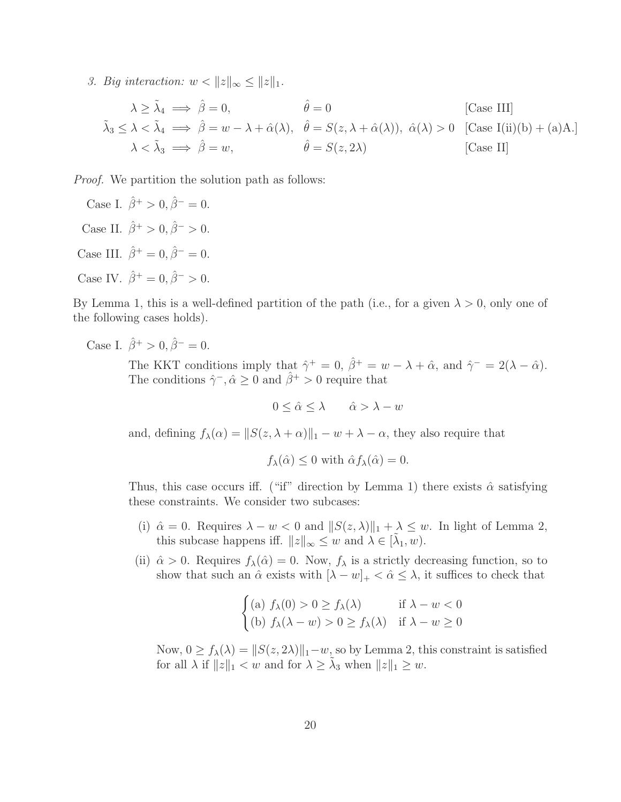3. Big interaction:  $w < ||z||_{\infty} \leq ||z||_1$ .

$$
\lambda \ge \tilde{\lambda}_4 \implies \hat{\beta} = 0, \qquad \hat{\theta} = 0 \qquad \text{[Case III]}
$$
  

$$
\tilde{\lambda}_3 \le \lambda < \tilde{\lambda}_4 \implies \hat{\beta} = w - \lambda + \hat{\alpha}(\lambda), \quad \hat{\theta} = S(z, \lambda + \hat{\alpha}(\lambda)), \quad \hat{\alpha}(\lambda) > 0 \quad \text{[Case I(ii)(b) + (a)A.]}
$$
  

$$
\lambda < \tilde{\lambda}_3 \implies \hat{\beta} = w, \qquad \hat{\theta} = S(z, 2\lambda) \qquad \text{[Case II]}
$$

Proof. We partition the solution path as follows:

Case I.  $\hat{\beta}^+ > 0$ ,  $\hat{\beta}^- = 0$ . Case II.  $\hat{\beta}^+ > 0, \hat{\beta}^- > 0.$ Case III.  $\hat{\beta}^{+} = 0, \hat{\beta}^{-} = 0.$ Case IV.  $\hat{\beta}^+ = 0, \hat{\beta}^- > 0.$ 

By Lemma 1, this is a well-defined partition of the path (i.e., for a given  $\lambda > 0$ , only one of the following cases holds).

Case I.  $\hat{\beta}^+ > 0$ ,  $\hat{\beta}^- = 0$ .

The KKT conditions imply that  $\hat{\gamma}^+ = 0$ ,  $\hat{\beta}^+ = w - \lambda + \hat{\alpha}$ , and  $\hat{\gamma}^- = 2(\lambda - \hat{\alpha})$ . The conditions  $\hat{\gamma}$ ,  $\hat{\alpha} \ge 0$  and  $\hat{\beta}^+ > 0$  require that

$$
0 \le \hat{\alpha} \le \lambda \qquad \hat{\alpha} > \lambda - w
$$

and, defining  $f_{\lambda}(\alpha) = ||S(z, \lambda + \alpha)||_1 - w + \lambda - \alpha$ , they also require that

 $f_{\lambda}(\hat{\alpha}) \leq 0$  with  $\hat{\alpha} f_{\lambda}(\hat{\alpha}) = 0$ .

Thus, this case occurs iff. ("if" direction by Lemma 1) there exists  $\hat{\alpha}$  satisfying these constraints. We consider two subcases:

- (i)  $\hat{\alpha} = 0$ . Requires  $\lambda w < 0$  and  $||S(z, \lambda)||_1 + \lambda \leq w$ . In light of Lemma 2, this subcase happens iff.  $||z||_{\infty} \leq w$  and  $\lambda \in [\tilde{\lambda}_1, w)$ .
- (ii)  $\hat{\alpha} > 0$ . Requires  $f_{\lambda}(\hat{\alpha}) = 0$ . Now,  $f_{\lambda}$  is a strictly decreasing function, so to show that such an  $\hat{\alpha}$  exists with  $[\lambda - w]_+ < \hat{\alpha} \leq \lambda$ , it suffices to check that

$$
\begin{cases}\n(a) \ f_{\lambda}(0) > 0 \ge f_{\lambda}(\lambda) & \text{if } \lambda - w < 0 \\
(b) \ f_{\lambda}(\lambda - w) > 0 \ge f_{\lambda}(\lambda) & \text{if } \lambda - w \ge 0\n\end{cases}
$$

Now,  $0 \ge f_{\lambda}(\lambda) = ||S(z, 2\lambda)||_1 - w$ , so by Lemma 2, this constraint is satisfied for all  $\lambda$  if  $||z||_1 < w$  and for  $\lambda \geq \tilde{\lambda}_3$  when  $||z||_1 \geq w$ .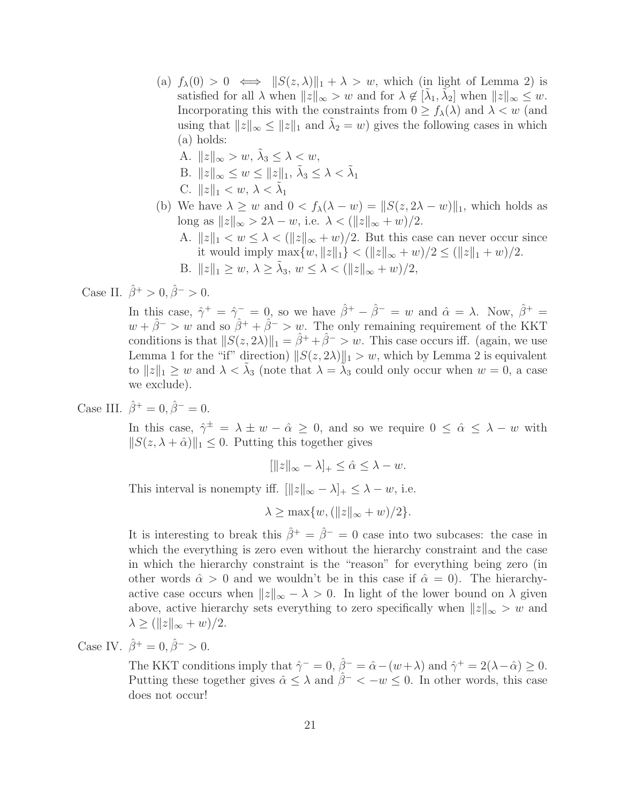- (a)  $f_{\lambda}(0) > 0 \iff ||S(z, \lambda)||_1 + \lambda > w$ , which (in light of Lemma 2) is satisfied for all  $\lambda$  when  $||z||_{\infty} > w$  and for  $\lambda \notin [\tilde{\lambda}_1, \tilde{\lambda}_2]$  when  $||z||_{\infty} \leq w$ . Incorporating this with the constraints from  $0 \ge f_{\lambda}(\lambda)$  and  $\lambda < w$  (and using that  $||z||_{\infty} \le ||z||_1$  and  $\tilde{\lambda}_2 = w$ ) gives the following cases in which (a) holds:
	- A.  $||z||_{\infty} > w, \tilde{\lambda}_3 \leq \lambda < w$ ,
	- B.  $||z||_{\infty} \leq w \leq ||z||_1, \tilde{\lambda}_3 \leq \lambda < \tilde{\lambda}_1$
	- C.  $||z||_1 < w, \lambda < \tilde{\lambda}_1$
- (b) We have  $\lambda \geq w$  and  $0 < f_{\lambda}(\lambda w) = ||S(z, 2\lambda w)||_1$ , which holds as long as  $||z||_{\infty} > 2\lambda - w$ , i.e.  $\lambda < (||z||_{\infty} + w)/2$ .
	- A.  $||z||_1 < w \leq \lambda < (||z||_{\infty} + w)/2$ . But this case can never occur since it would imply  $\max\{w, \|z\|_1\} < (\|z\|_{\infty} + w)/2 \le (\|z\|_1 + w)/2.$
	- B.  $||z||_1 \geq w, \, \lambda \geq \tilde{\lambda}_3, \, w \leq \lambda < (||z||_{\infty} + w)/2,$

Case II.  $\hat{\beta}^+ > 0$ ,  $\hat{\beta}^- > 0$ .

In this case,  $\hat{\gamma}^+ = \hat{\gamma}^- = 0$ , so we have  $\hat{\beta}^+ - \hat{\beta}^- = w$  and  $\hat{\alpha} = \lambda$ . Now,  $\hat{\beta}^+ = \hat{\gamma}^- = 0$ , so we have  $\hat{\beta}^+ - \hat{\beta}^- = w$  and  $\hat{\alpha} = \lambda$ .  $w + \hat{\beta}^{-} > w$  and so  $\hat{\beta}^{+} + \hat{\beta}^{-} > w$ . The only remaining requirement of the KKT conditions is that  $||S(z, 2\lambda)||_1 = \hat{\beta}^+ + \hat{\beta}^- > w$ . This case occurs iff. (again, we use Lemma 1 for the "if" direction)  $||S(z, 2\lambda)||_1 > w$ , which by Lemma 2 is equivalent to  $||z||_1 \geq w$  and  $\lambda < \tilde{\lambda}_3$  (note that  $\lambda = \tilde{\lambda}_3$  could only occur when  $w = 0$ , a case we exclude).

Case III.  $\hat{\beta}^{+} = 0, \hat{\beta}^{-} = 0.$ 

In this case,  $\hat{\gamma}^{\pm} = \lambda \pm w - \hat{\alpha} \geq 0$ , and so we require  $0 \leq \hat{\alpha} \leq \lambda - w$  with  $||S(z, \lambda + \hat{\alpha})||_1 \leq 0$ . Putting this together gives

$$
[||z||_{\infty} - \lambda]_{+} \le \hat{\alpha} \le \lambda - w.
$$

This interval is nonempty iff.  $\left[\|z\|_{\infty} - \lambda\right]_+ \leq \lambda - w$ , i.e.

 $\lambda \geq \max\{w, (\|z\|_{\infty} + w)/2\}.$ 

It is interesting to break this  $\hat{\beta}^+ = \hat{\beta}^- = 0$  case into two subcases: the case in which the everything is zero even without the hierarchy constraint and the case in which the hierarchy constraint is the "reason" for everything being zero (in other words  $\hat{\alpha} > 0$  and we wouldn't be in this case if  $\hat{\alpha} = 0$ ). The hierarchyactive case occurs when  $||z||_{\infty} - \lambda > 0$ . In light of the lower bound on  $\lambda$  given above, active hierarchy sets everything to zero specifically when  $||z||_{\infty} > w$  and  $\lambda \geq (||z||_{\infty} + w)/2.$ 

Case IV.  $\hat{\beta}^+ = 0$ ,  $\hat{\beta}^- > 0$ .

The KKT conditions imply that  $\hat{\gamma}^- = 0$ ,  $\hat{\beta}^- = \hat{\alpha} - (w + \lambda)$  and  $\hat{\gamma}^+ = 2(\lambda - \hat{\alpha}) \ge 0$ . Putting these together gives  $\hat{\alpha} \leq \lambda$  and  $\hat{\beta}^- < -w \leq 0$ . In other words, this case does not occur!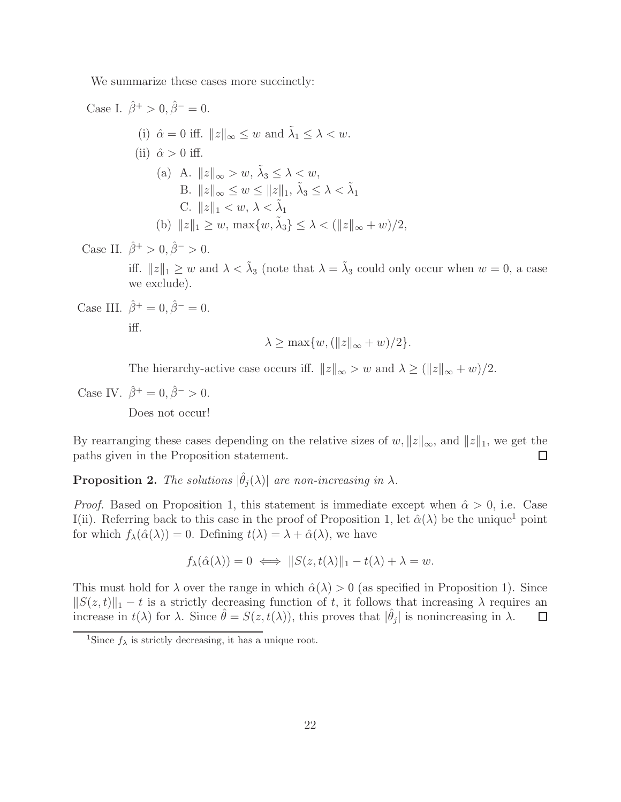We summarize these cases more succinctly:

Case I. 
$$
\hat{\beta}^+ > 0
$$
,  $\hat{\beta}^- = 0$ . \n(i)  $\hat{\alpha} = 0$  iff.  $||z||_{\infty} \leq w$  and  $\tilde{\lambda}_1 \leq \lambda < w$ . \n(ii)  $\hat{\alpha} > 0$  iff. \n(a) A.  $||z||_{\infty} > w$ ,  $\tilde{\lambda}_3 \leq \lambda < w$ , \nB.  $||z||_{\infty} \leq w \leq ||z||_1$ ,  $\tilde{\lambda}_3 \leq \lambda < \tilde{\lambda}_1$  \nC.  $||z||_1 < w$ ,  $\lambda < \tilde{\lambda}_1$  \n(b)  $||z||_1 \geq w$ ,  $\max\{w, \tilde{\lambda}_3\} \leq \lambda < (||z||_{\infty} + w)/2$ ,

Case II.  $\hat{\beta}^+ > 0$ ,  $\hat{\beta}^- > 0$ .

iff.  $||z||_1 \geq w$  and  $\lambda < \tilde{\lambda}_3$  (note that  $\lambda = \tilde{\lambda}_3$  could only occur when  $w = 0$ , a case we exclude).

Case III. 
$$
\hat{\beta}^+ = 0
$$
,  $\hat{\beta}^- = 0$ . iff.

$$
\lambda \ge \max\{w, (\|z\|_{\infty} + w)/2\}.
$$

The hierarchy-active case occurs iff.  $||z||_{\infty} > w$  and  $\lambda \geq (||z||_{\infty} + w)/2$ .

Case IV. 
$$
\hat{\beta}^+ = 0, \hat{\beta}^- > 0.
$$

Does not occur!

By rearranging these cases depending on the relative sizes of  $w, ||z||_{\infty}$ , and  $||z||_1$ , we get the paths given in the Proposition statement.  $\Box$ 

**Proposition 2.** The solutions  $|\hat{\theta}_j(\lambda)|$  are non-increasing in  $\lambda$ .

*Proof.* Based on Proposition 1, this statement is immediate except when  $\hat{\alpha} > 0$ , i.e. Case I(ii). Referring back to this case in the proof of Proposition 1, let  $\hat{\alpha}(\lambda)$  be the unique<sup>1</sup> point for which  $f_{\lambda}(\hat{\alpha}(\lambda)) = 0$ . Defining  $t(\lambda) = \lambda + \hat{\alpha}(\lambda)$ , we have

$$
f_{\lambda}(\hat{\alpha}(\lambda)) = 0 \iff ||S(z, t(\lambda)||_1 - t(\lambda) + \lambda = w.
$$

This must hold for  $\lambda$  over the range in which  $\hat{\alpha}(\lambda) > 0$  (as specified in Proposition 1). Since  $||S(z, t)||_1 - t$  is a strictly decreasing function of t, it follows that increasing  $\lambda$  requires an increase in  $t(\lambda)$  for  $\lambda$ . Since  $\hat{\theta} = S(z, t(\lambda))$ , this proves that  $|\hat{\theta}_j|$  is nonincreasing in  $\lambda$ .  $\Box$ 

<sup>&</sup>lt;sup>1</sup>Since  $f_{\lambda}$  is strictly decreasing, it has a unique root.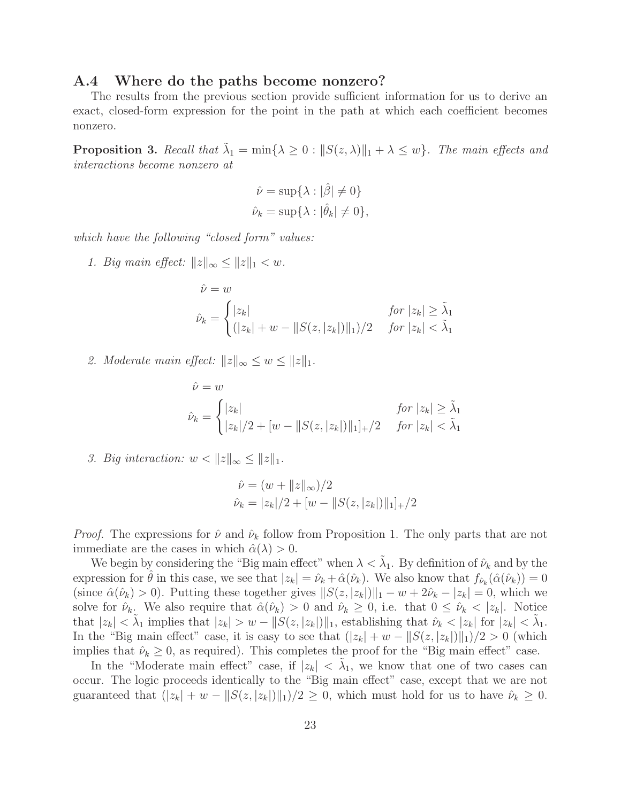### A.4 Where do the paths become nonzero?

The results from the previous section provide sufficient information for us to derive an exact, closed-form expression for the point in the path at which each coefficient becomes nonzero.

**Proposition 3.** Recall that  $\tilde{\lambda}_1 = \min\{\lambda \geq 0 : ||S(z, \lambda)||_1 + \lambda \leq w\}$ . The main effects and interactions become nonzero at

$$
\hat{\nu} = \sup \{ \lambda : |\hat{\beta}| \neq 0 \}
$$
  

$$
\hat{\nu}_k = \sup \{ \lambda : |\hat{\theta}_k| \neq 0 \},
$$

which have the following "closed form" values:

1. Big main effect:  $||z||_{\infty} \leq ||z||_1 < w$ .

$$
\hat{\nu} = w
$$
  

$$
\hat{\nu}_k = \begin{cases} |z_k| & \text{for } |z_k| \ge \tilde{\lambda}_1 \\ (|z_k| + w - ||S(z, |z_k|) ||_1)/2 & \text{for } |z_k| < \tilde{\lambda}_1 \end{cases}
$$

2. Moderate main effect:  $||z||_{\infty} \leq w \leq ||z||_1$ .

$$
\hat{\nu} = w
$$
  

$$
\hat{\nu}_k = \begin{cases} |z_k| & \text{for } |z_k| \ge \tilde{\lambda}_1 \\ |z_k|/2 + [w - ||S(z, |z_k|)||_1]_{+}/2 & \text{for } |z_k| < \tilde{\lambda}_1 \end{cases}
$$

3. Big interaction:  $w < ||z||_{\infty} \leq ||z||_1$ .

$$
\hat{\nu} = (w + ||z||_{\infty})/2
$$
  

$$
\hat{\nu}_k = |z_k|/2 + [w - ||S(z, |z_k|)||_1]_+/2
$$

*Proof.* The expressions for  $\hat{\nu}$  and  $\hat{\nu}_k$  follow from Proposition 1. The only parts that are not immediate are the cases in which  $\hat{\alpha}(\lambda) > 0$ .

We begin by considering the "Big main effect" when  $\lambda < \tilde{\lambda}_1$ . By definition of  $\hat{\nu}_k$  and by the expression for  $\hat{\theta}$  in this case, we see that  $|z_k| = \hat{\nu}_k + \hat{\alpha}(\hat{\nu}_k)$ . We also know that  $f_{\hat{\nu}_k}(\hat{\alpha}(\hat{\nu}_k)) = 0$ (since  $\hat{\alpha}(\hat{\nu}_k) > 0$ ). Putting these together gives  $||S(z, |z_k|)||_1 - w + 2\hat{\nu}_k - |z_k| = 0$ , which we solve for  $\hat{\nu}_k$ . We also require that  $\hat{\alpha}(\hat{\nu}_k) > 0$  and  $\hat{\nu}_k \geq 0$ , i.e. that  $0 \leq \hat{\nu}_k < |z_k|$ . Notice that  $|z_k| < \tilde{\lambda}_1$  implies that  $|z_k| > w - ||S(z, |z_k|)||_1$ , establishing that  $\hat{\nu}_k < |z_k|$  for  $|z_k| < \tilde{\lambda}_1$ . In the "Big main effect" case, it is easy to see that  $(|z_k| + w - ||S(z, |z_k||)||_1)/2 > 0$  (which implies that  $\hat{\nu}_k \geq 0$ , as required). This completes the proof for the "Big main effect" case.

In the "Moderate main effect" case, if  $|z_k| < \tilde{\lambda}_1$ , we know that one of two cases can occur. The logic proceeds identically to the "Big main effect" case, except that we are not guaranteed that  $(|z_k| + w - ||S(z, |z_k||)||_1)/2 \geq 0$ , which must hold for us to have  $\hat{\nu}_k \geq 0$ .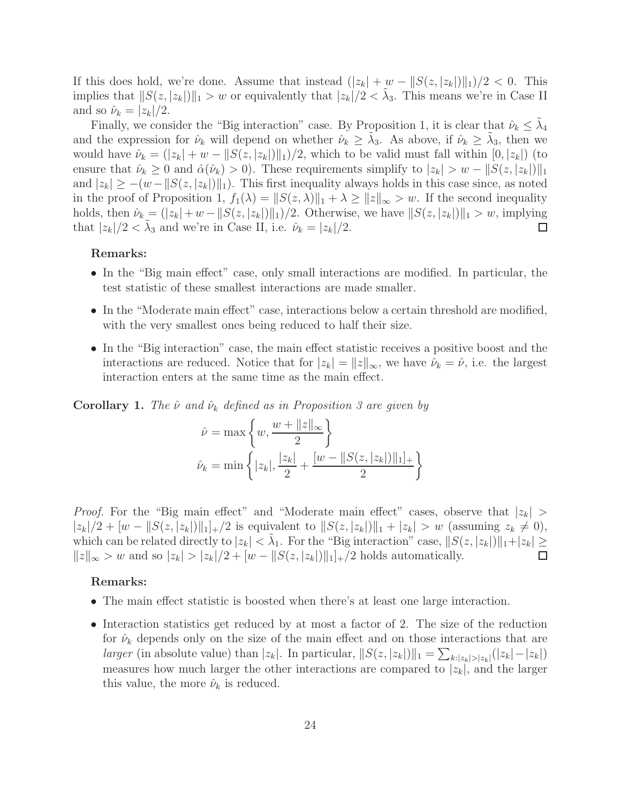If this does hold, we're done. Assume that instead  $(|z_k| + w - ||S(z, |z_k||)||_1)/2 < 0$ . This implies that  $||S(z, |z_k|)||_1 > w$  or equivalently that  $|z_k|/2 < \tilde{\lambda}_3$ . This means we're in Case II and so  $\hat{\nu}_k = |z_k|/2$ .

Finally, we consider the "Big interaction" case. By Proposition 1, it is clear that  $\hat{\nu}_k \leq \tilde{\lambda}_4$ and the expression for  $\hat{\nu}_k$  will depend on whether  $\hat{\nu}_k \geq \tilde{\lambda}_3$ . As above, if  $\hat{\nu}_k \geq \tilde{\lambda}_3$ , then we would have  $\hat{\nu}_k = (|z_k| + w - ||S(z, |z_k||)||_1)/2$ , which to be valid must fall within  $[0, |z_k|)$  (to ensure that  $\hat{\nu}_k \geq 0$  and  $\hat{\alpha}(\hat{\nu}_k) > 0$ . These requirements simplify to  $|z_k| > w - ||S(z, |z_k||)||_1$ and  $|z_k| \geq -(w-\|S(z, |z_k|)\|_1)$ . This first inequality always holds in this case since, as noted in the proof of Proposition 1,  $f_1(\lambda) = ||S(z, \lambda)||_1 + \lambda \ge ||z||_{\infty} > w$ . If the second inequality holds, then  $\hat{\nu}_k = (|z_k| + w - ||S(z, |z_k||)||_1)/2$ . Otherwise, we have  $||S(z, |z_k||)||_1 > w$ , implying that  $|z_k|/2 < \tilde{\lambda}_3$  and we're in Case II, i.e.  $\hat{\nu}_k = |z_k|/2$ .  $\Box$ 

### Remarks:

- In the "Big main effect" case, only small interactions are modified. In particular, the test statistic of these smallest interactions are made smaller.
- In the "Moderate main effect" case, interactions below a certain threshold are modified, with the very smallest ones being reduced to half their size.
- In the "Big interaction" case, the main effect statistic receives a positive boost and the interactions are reduced. Notice that for  $|z_k| = ||z||_{\infty}$ , we have  $\hat{\nu}_k = \hat{\nu}$ , i.e. the largest interaction enters at the same time as the main effect.

**Corollary 1.** The  $\hat{\nu}$  and  $\hat{\nu}_k$  defined as in Proposition 3 are given by

$$
\hat{\nu} = \max \left\{ w, \frac{w + \|z\|_{\infty}}{2} \right\}
$$

$$
\hat{\nu}_k = \min \left\{ |z_k|, \frac{|z_k|}{2} + \frac{[w - \|S(z, |z_k|)\|_1]_+}{2} \right\}
$$

*Proof.* For the "Big main effect" and "Moderate main effect" cases, observe that  $|z_k|$  $|z_k|/2 + [w - ||S(z, |z_k||)||_1]$  +  $/2$  is equivalent to  $||S(z, |z_k||)||_1 + |z_k| > w$  (assuming  $z_k \neq 0$ ), which can be related directly to  $|z_k| < \tilde{\lambda}_1$ . For the "Big interaction" case,  $||S(z, |z_k|)||_1 + |z_k| \ge$  $||z||_{\infty} > w$  and so  $|z_k| > |z_k|/2 + [w - ||S(z, |z_k)||_1]$ +/2 holds automatically.  $\Box$ 

#### Remarks:

- The main effect statistic is boosted when there's at least one large interaction.
- Interaction statistics get reduced by at most a factor of 2. The size of the reduction for  $\hat{\nu}_k$  depends only on the size of the main effect and on those interactions that are larger (in absolute value) than  $|z_k|$ . In particular,  $||S(z, |z_k|)||_1 = \sum_{k:|z_k|>|z_k|}(|z_k|-|z_k|)$ measures how much larger the other interactions are compared to  $|z_k|$ , and the larger this value, the more  $\hat{\nu}_k$  is reduced.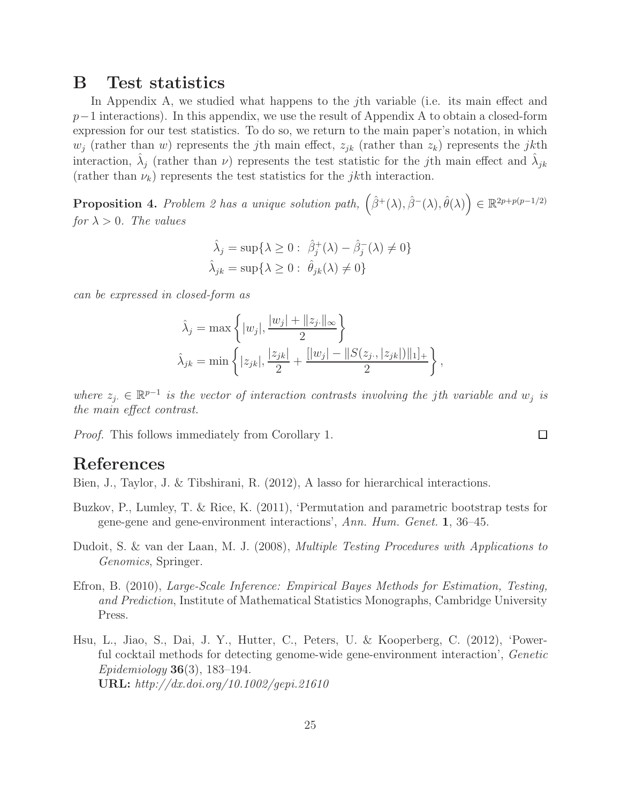# B Test statistics

In Appendix A, we studied what happens to the jth variable (i.e. its main effect and  $p-1$  interactions). In this appendix, we use the result of Appendix A to obtain a closed-form expression for our test statistics. To do so, we return to the main paper's notation, in which  $w_j$  (rather than w) represents the jth main effect,  $z_{jk}$  (rather than  $z_k$ ) represents the jkth interaction,  $\hat{\lambda}_j$  (rather than  $\nu$ ) represents the test statistic for the *j*th main effect and  $\hat{\lambda}_{jk}$ (rather than  $\nu_k$ ) represents the test statistics for the *jkth* interaction.

**Proposition 4.** Problem 2 has a unique solution path,  $(\hat{\beta}^+(\lambda), \hat{\beta}^-(\lambda), \hat{\theta}(\lambda)) \in \mathbb{R}^{2p+p(p-1/2)}$ for  $\lambda > 0$ . The values

$$
\hat{\lambda}_j = \sup \{ \lambda \ge 0 : \hat{\beta}_j^+(\lambda) - \hat{\beta}_j^-(\lambda) \ne 0 \}
$$
  

$$
\hat{\lambda}_{jk} = \sup \{ \lambda \ge 0 : \hat{\theta}_{jk}(\lambda) \ne 0 \}
$$

can be expressed in closed-form as

$$
\hat{\lambda}_j = \max \left\{ |w_j|, \frac{|w_j| + ||z_j||_{\infty}}{2} \right\}
$$
  

$$
\hat{\lambda}_{jk} = \min \left\{ |z_{jk}|, \frac{|z_{jk}|}{2} + \frac{[|w_j| - ||S(z_{j\cdot}, |z_{jk}|)||_1]_+}{2} \right\},
$$

where  $z_j \in \mathbb{R}^{p-1}$  is the vector of interaction contrasts involving the jth variable and  $w_j$  is the main effect contrast.

Proof. This follows immediately from Corollary 1.

# References

Bien, J., Taylor, J. & Tibshirani, R. (2012), A lasso for hierarchical interactions.

- Buzkov, P., Lumley, T. & Rice, K. (2011), 'Permutation and parametric bootstrap tests for gene-gene and gene-environment interactions', Ann. Hum. Genet. 1, 36–45.
- Dudoit, S. & van der Laan, M. J. (2008), Multiple Testing Procedures with Applications to Genomics, Springer.
- Efron, B. (2010), Large-Scale Inference: Empirical Bayes Methods for Estimation, Testing, and Prediction, Institute of Mathematical Statistics Monographs, Cambridge University Press.
- Hsu, L., Jiao, S., Dai, J. Y., Hutter, C., Peters, U. & Kooperberg, C. (2012), 'Powerful cocktail methods for detecting genome-wide gene-environment interaction', Genetic Epidemiology 36(3), 183–194. URL: http://dx.doi.org/10.1002/gepi.21610

 $\Box$